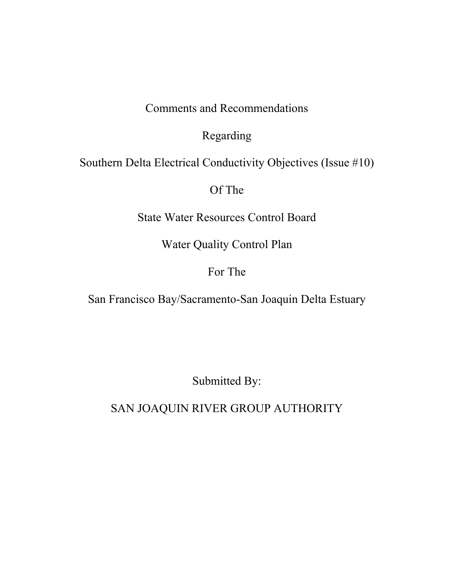Comments and Recommendations

Regarding

Southern Delta Electrical Conductivity Objectives (Issue #10)

Of The

State Water Resources Control Board

Water Quality Control Plan

# For The

San Francisco Bay/Sacramento-San Joaquin Delta Estuary

Submitted By:

SAN JOAQUIN RIVER GROUP AUTHORITY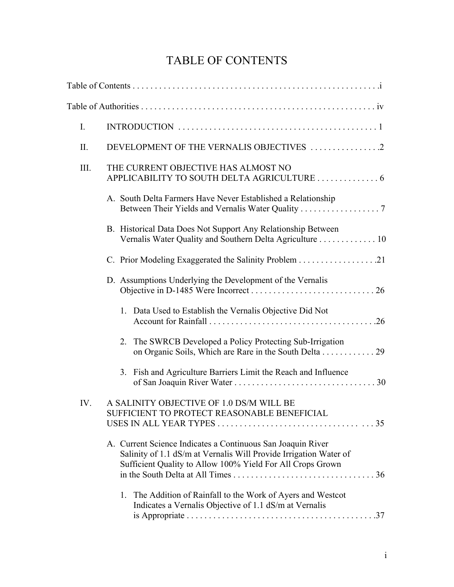# TABLE OF CONTENTS

| $I_{\cdot}$ |                                                                                                                                                                                                |  |  |  |  |  |  |  |
|-------------|------------------------------------------------------------------------------------------------------------------------------------------------------------------------------------------------|--|--|--|--|--|--|--|
| II.         | DEVELOPMENT OF THE VERNALIS OBJECTIVES 2                                                                                                                                                       |  |  |  |  |  |  |  |
| III.        | THE CURRENT OBJECTIVE HAS ALMOST NO<br>APPLICABILITY TO SOUTH DELTA AGRICULTURE 6                                                                                                              |  |  |  |  |  |  |  |
|             | A. South Delta Farmers Have Never Established a Relationship<br>Between Their Yields and Vernalis Water Quality 7                                                                              |  |  |  |  |  |  |  |
|             | B. Historical Data Does Not Support Any Relationship Between<br>Vernalis Water Quality and Southern Delta Agriculture 10                                                                       |  |  |  |  |  |  |  |
|             |                                                                                                                                                                                                |  |  |  |  |  |  |  |
|             | D. Assumptions Underlying the Development of the Vernalis                                                                                                                                      |  |  |  |  |  |  |  |
|             | 1. Data Used to Establish the Vernalis Objective Did Not                                                                                                                                       |  |  |  |  |  |  |  |
|             | The SWRCB Developed a Policy Protecting Sub-Irrigation<br>2.<br>on Organic Soils, Which are Rare in the South Delta 29                                                                         |  |  |  |  |  |  |  |
|             | 3. Fish and Agriculture Barriers Limit the Reach and Influence                                                                                                                                 |  |  |  |  |  |  |  |
| IV.         | A SALINITY OBJECTIVE OF 1.0 DS/M WILL BE<br>SUFFICIENT TO PROTECT REASONABLE BENEFICIAL                                                                                                        |  |  |  |  |  |  |  |
|             | A. Current Science Indicates a Continuous San Joaquin River<br>Salinity of 1.1 dS/m at Vernalis Will Provide Irrigation Water of<br>Sufficient Quality to Allow 100% Yield For All Crops Grown |  |  |  |  |  |  |  |
|             | 1. The Addition of Rainfall to the Work of Ayers and Westcot<br>Indicates a Vernalis Objective of 1.1 dS/m at Vernalis                                                                         |  |  |  |  |  |  |  |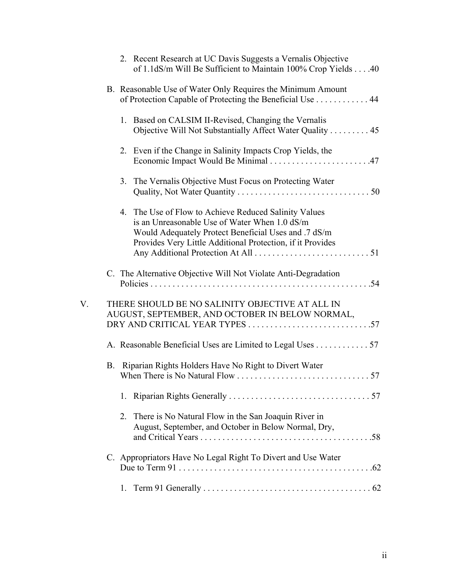|    | 2. Recent Research at UC Davis Suggests a Vernalis Objective<br>of 1.1dS/m Will Be Sufficient to Maintain 100% Crop Yields 40                                                                                                |
|----|------------------------------------------------------------------------------------------------------------------------------------------------------------------------------------------------------------------------------|
|    | B. Reasonable Use of Water Only Requires the Minimum Amount<br>of Protection Capable of Protecting the Beneficial Use 44                                                                                                     |
|    | 1. Based on CALSIM II-Revised, Changing the Vernalis<br>Objective Will Not Substantially Affect Water Quality 45                                                                                                             |
|    | 2. Even if the Change in Salinity Impacts Crop Yields, the                                                                                                                                                                   |
|    | 3. The Vernalis Objective Must Focus on Protecting Water                                                                                                                                                                     |
|    | 4. The Use of Flow to Achieve Reduced Salinity Values<br>is an Unreasonable Use of Water When 1.0 dS/m<br>Would Adequately Protect Beneficial Uses and .7 dS/m<br>Provides Very Little Additional Protection, if it Provides |
|    | C. The Alternative Objective Will Not Violate Anti-Degradation                                                                                                                                                               |
| V. | THERE SHOULD BE NO SALINITY OBJECTIVE AT ALL IN<br>AUGUST, SEPTEMBER, AND OCTOBER IN BELOW NORMAL,                                                                                                                           |
|    | A. Reasonable Beneficial Uses are Limited to Legal Uses 57                                                                                                                                                                   |
|    | B. Riparian Rights Holders Have No Right to Divert Water                                                                                                                                                                     |
|    | 1.                                                                                                                                                                                                                           |
|    | There is No Natural Flow in the San Joaquin River in<br>2.<br>August, September, and October in Below Normal, Dry,                                                                                                           |
|    | C. Appropriators Have No Legal Right To Divert and Use Water                                                                                                                                                                 |
|    | 1.                                                                                                                                                                                                                           |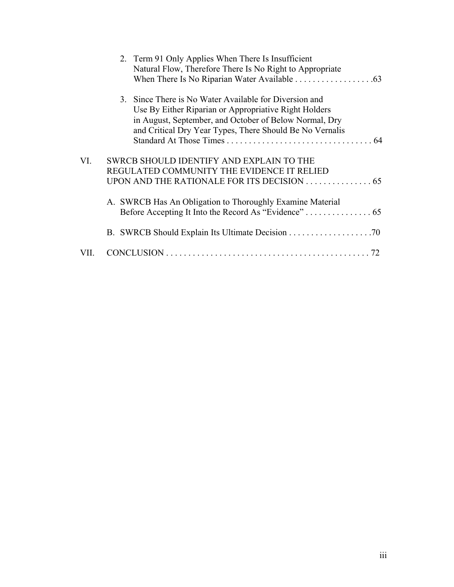|     | 2. Term 91 Only Applies When There Is Insufficient<br>Natural Flow, Therefore There Is No Right to Appropriate     |
|-----|--------------------------------------------------------------------------------------------------------------------|
|     |                                                                                                                    |
|     | 3. Since There is No Water Available for Diversion and<br>Use By Either Riparian or Appropriative Right Holders    |
|     | in August, September, and October of Below Normal, Dry<br>and Critical Dry Year Types, There Should Be No Vernalis |
| VI. | SWRCB SHOULD IDENTIFY AND EXPLAIN TO THE                                                                           |
|     | REGULATED COMMUNITY THE EVIDENCE IT RELIED                                                                         |
|     |                                                                                                                    |
|     | A. SWRCB Has An Obligation to Thoroughly Examine Material                                                          |
|     |                                                                                                                    |
|     |                                                                                                                    |
|     | 72                                                                                                                 |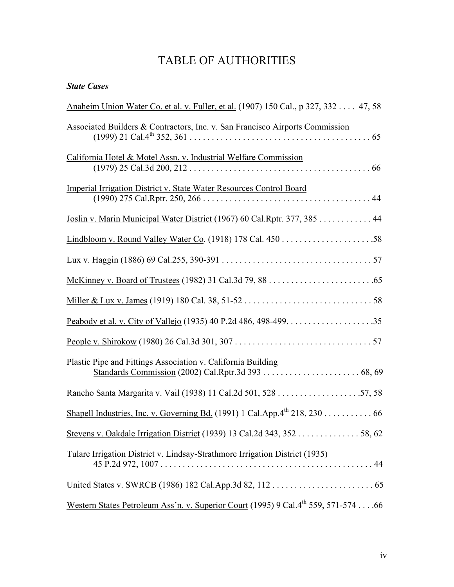# TABLE OF AUTHORITIES

## State Cases

| Anaheim Union Water Co. et al. v. Fuller, et al. (1907) 150 Cal., p 327, 332 47, 58            |
|------------------------------------------------------------------------------------------------|
| Associated Builders & Contractors, Inc. v. San Francisco Airports Commission                   |
| California Hotel & Motel Assn. v. Industrial Welfare Commission                                |
| Imperial Irrigation District v. State Water Resources Control Board                            |
| Joslin v. Marin Municipal Water District (1967) 60 Cal. Rptr. 377, 385 44                      |
|                                                                                                |
|                                                                                                |
|                                                                                                |
|                                                                                                |
|                                                                                                |
|                                                                                                |
| Plastic Pipe and Fittings Association v. California Building                                   |
|                                                                                                |
| Shapell Industries, Inc. v. Governing Bd. (1991) 1 Cal. App. $4^{th}$ 218, 230 66              |
| Stevens v. Oakdale Irrigation District (1939) 13 Cal.2d 343, 352 58, 62                        |
| Tulare Irrigation District v. Lindsay-Strathmore Irrigation District (1935)                    |
|                                                                                                |
| Western States Petroleum Ass'n. v. Superior Court (1995) 9 Cal.4 <sup>th</sup> 559, 571-574 66 |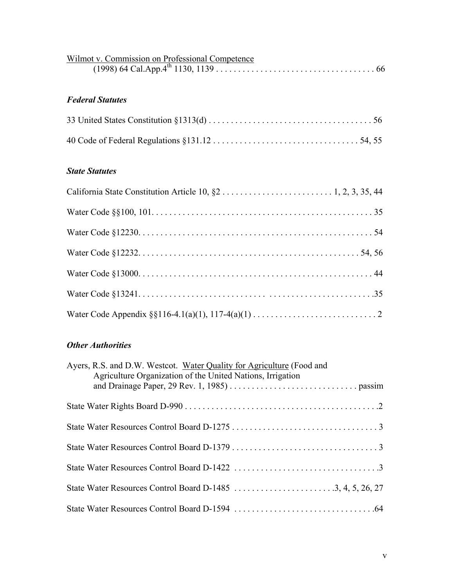| Wilmot v. Commission on Professional Competence |  |
|-------------------------------------------------|--|
|                                                 |  |

# Federal Statutes

## State Statutes

# **Other Authorities**

| Ayers, R.S. and D.W. Westcot. Water Quality for Agriculture (Food and<br>Agriculture Organization of the United Nations, Irrigation |
|-------------------------------------------------------------------------------------------------------------------------------------|
|                                                                                                                                     |
|                                                                                                                                     |
|                                                                                                                                     |
|                                                                                                                                     |
|                                                                                                                                     |
|                                                                                                                                     |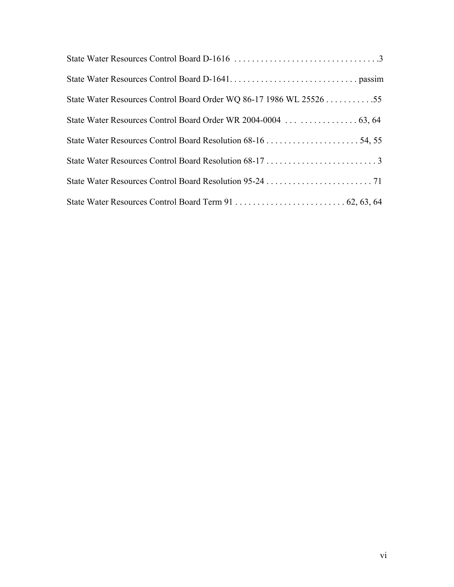| State Water Resources Control Board Order WQ 86-17 1986 WL 25526 55 |
|---------------------------------------------------------------------|
|                                                                     |
|                                                                     |
|                                                                     |
|                                                                     |
|                                                                     |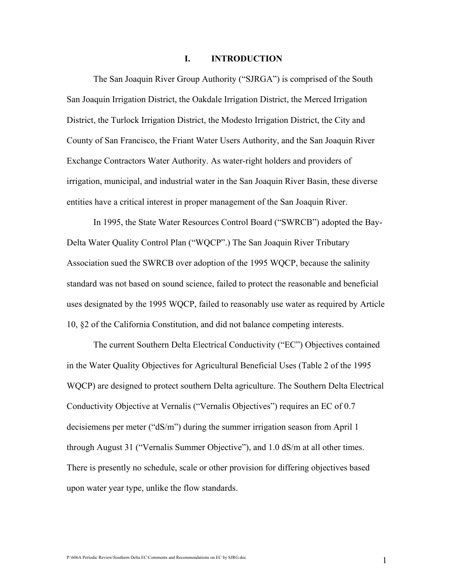#### I. INTRODUCTION

The San Joaquin River Group Authority ("SJRGA") is comprised of the South San Joaquin Irrigation District, the Oakdale Irrigation District, the Merced Irrigation District, the Turlock Irrigation District, the Modesto Irrigation District, the City and County of San Francisco, the Friant Water Users Authority, and the San Joaquin River Exchange Contractors Water Authority. As water-right holders and providers of irrigation, municipal, and industrial water in the San Joaquin River Basin, these diverse entities have a critical interest in proper management of the San Joaquin River.

In 1995, the State Water Resources Control Board ("SWRCB") adopted the Bay-Delta Water Quality Control Plan ("WQCP".) The San Joaquin River Tributary Association sued the SWRCB over adoption of the 1995 WQCP, because the salinity standard was not based on sound science, failed to protect the reasonable and beneficial uses designated by the 1995 WQCP, failed to reasonably use water as required by Article 10, §2 of the California Constitution, and did not balance competing interests.

The current Southern Delta Electrical Conductivity ("EC") Objectives contained in the Water Quality Objectives for Agricultural Beneficial Uses (Table 2 of the 1995 WQCP) are designed to protect southern Delta agriculture. The Southern Delta Electrical Conductivity Objective at Vernalis ("Vernalis Objectives") requires an EC of 0.7 decisiemens per meter ("dS/m") during the summer irrigation season from April 1 through August 31 ("Vernalis Summer Objective"), and 1.0 dS/m at all other times. There is presently no schedule, scale or other provision for differing objectives based upon water year type, unlike the flow standards.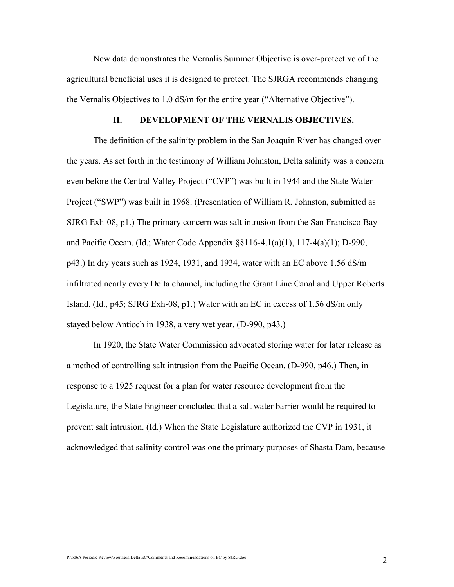New data demonstrates the Vernalis Summer Objective is over-protective of the agricultural beneficial uses it is designed to protect. The SJRGA recommends changing the Vernalis Objectives to 1.0 dS/m for the entire year ("Alternative Objective").

#### II. DEVELOPMENT OF THE VERNALIS OBJECTIVES.

The definition of the salinity problem in the San Joaquin River has changed over the years. As set forth in the testimony of William Johnston, Delta salinity was a concern even before the Central Valley Project ("CVP") was built in 1944 and the State Water Project ("SWP") was built in 1968. (Presentation of William R. Johnston, submitted as SJRG Exh-08, p1.) The primary concern was salt intrusion from the San Francisco Bay and Pacific Ocean. (Id.; Water Code Appendix §§116-4.1(a)(1), 117-4(a)(1); D-990, p43.) In dry years such as 1924, 1931, and 1934, water with an EC above 1.56 dS/m infiltrated nearly every Delta channel, including the Grant Line Canal and Upper Roberts Island. (Id., p45; SJRG Exh-08, p1.) Water with an EC in excess of 1.56 dS/m only stayed below Antioch in 1938, a very wet year. (D-990, p43.)

In 1920, the State Water Commission advocated storing water for later release as a method of controlling salt intrusion from the Pacific Ocean. (D-990, p46.) Then, in response to a 1925 request for a plan for water resource development from the Legislature, the State Engineer concluded that a salt water barrier would be required to prevent salt intrusion. (Id.) When the State Legislature authorized the CVP in 1931, it acknowledged that salinity control was one the primary purposes of Shasta Dam, because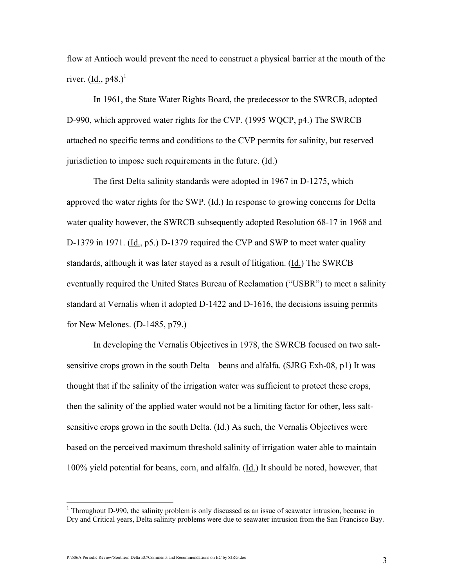flow at Antioch would prevent the need to construct a physical barrier at the mouth of the river.  $(Id, p48.)<sup>1</sup>$ 

In 1961, the State Water Rights Board, the predecessor to the SWRCB, adopted D-990, which approved water rights for the CVP. (1995 WQCP, p4.) The SWRCB attached no specific terms and conditions to the CVP permits for salinity, but reserved jurisdiction to impose such requirements in the future. (Id.)

The first Delta salinity standards were adopted in 1967 in D-1275, which approved the water rights for the SWP. (Id.) In response to growing concerns for Delta water quality however, the SWRCB subsequently adopted Resolution 68-17 in 1968 and D-1379 in 1971. (Id., p5.) D-1379 required the CVP and SWP to meet water quality standards, although it was later stayed as a result of litigation. (Id.) The SWRCB eventually required the United States Bureau of Reclamation ("USBR") to meet a salinity standard at Vernalis when it adopted D-1422 and D-1616, the decisions issuing permits for New Melones. (D-1485, p79.)

 In developing the Vernalis Objectives in 1978, the SWRCB focused on two saltsensitive crops grown in the south Delta – beans and alfalfa. (SJRG Exh-08, p1) It was thought that if the salinity of the irrigation water was sufficient to protect these crops, then the salinity of the applied water would not be a limiting factor for other, less saltsensitive crops grown in the south Delta. (Id.) As such, the Vernalis Objectives were based on the perceived maximum threshold salinity of irrigation water able to maintain 100% yield potential for beans, corn, and alfalfa. (Id.) It should be noted, however, that

P:\606A Periodic Review\Southern Delta EC\Comments and Recommendations on EC by SJRG.doc 3

<sup>&</sup>lt;sup>1</sup> Throughout D-990, the salinity problem is only discussed as an issue of seawater intrusion, because in Dry and Critical years, Delta salinity problems were due to seawater intrusion from the San Francisco Bay.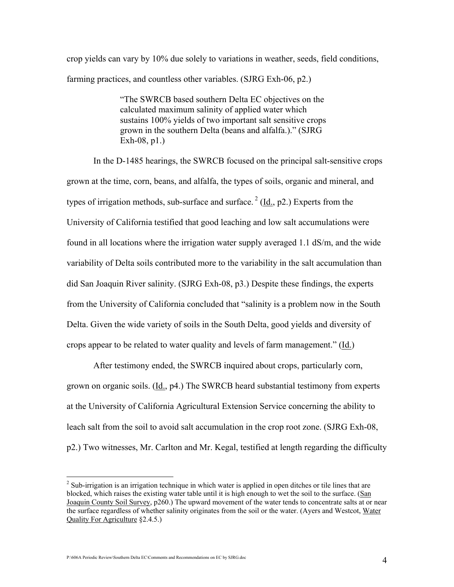crop yields can vary by 10% due solely to variations in weather, seeds, field conditions, farming practices, and countless other variables. (SJRG Exh-06, p2.)

> "The SWRCB based southern Delta EC objectives on the calculated maximum salinity of applied water which sustains 100% yields of two important salt sensitive crops grown in the southern Delta (beans and alfalfa.)." (SJRG Exh-08, p1.)

In the D-1485 hearings, the SWRCB focused on the principal salt-sensitive crops grown at the time, corn, beans, and alfalfa, the types of soils, organic and mineral, and types of irrigation methods, sub-surface and surface.<sup>2</sup> (Id., p2.) Experts from the University of California testified that good leaching and low salt accumulations were found in all locations where the irrigation water supply averaged 1.1 dS/m, and the wide variability of Delta soils contributed more to the variability in the salt accumulation than did San Joaquin River salinity. (SJRG Exh-08, p3.) Despite these findings, the experts from the University of California concluded that "salinity is a problem now in the South Delta. Given the wide variety of soils in the South Delta, good yields and diversity of crops appear to be related to water quality and levels of farm management."  $(\underline{Id})$ 

After testimony ended, the SWRCB inquired about crops, particularly corn, grown on organic soils. (Id., p4.) The SWRCB heard substantial testimony from experts at the University of California Agricultural Extension Service concerning the ability to leach salt from the soil to avoid salt accumulation in the crop root zone. (SJRG Exh-08, p2.) Two witnesses, Mr. Carlton and Mr. Kegal, testified at length regarding the difficulty

 $2^{2}$  Sub-irrigation is an irrigation technique in which water is applied in open ditches or tile lines that are blocked, which raises the existing water table until it is high enough to wet the soil to the surface. (San Joaquin County Soil Survey, p260.) The upward movement of the water tends to concentrate salts at or near the surface regardless of whether salinity originates from the soil or the water. (Ayers and Westcot, Water Quality For Agriculture §2.4.5.)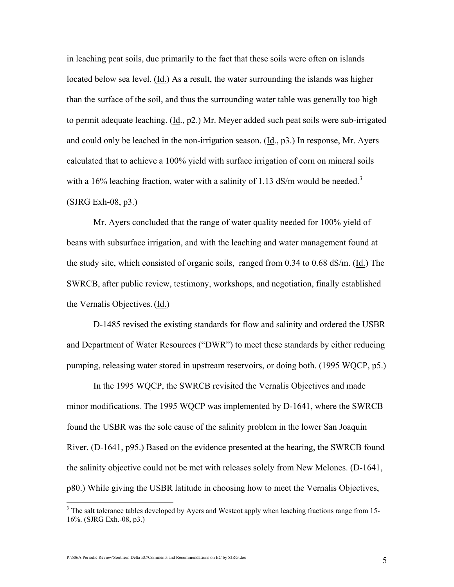in leaching peat soils, due primarily to the fact that these soils were often on islands located below sea level. (Id.) As a result, the water surrounding the islands was higher than the surface of the soil, and thus the surrounding water table was generally too high to permit adequate leaching. (Id., p2.) Mr. Meyer added such peat soils were sub-irrigated and could only be leached in the non-irrigation season. (Id., p3.) In response, Mr. Ayers calculated that to achieve a 100% yield with surface irrigation of corn on mineral soils with a 16% leaching fraction, water with a salinity of 1.13 dS/m would be needed.<sup>3</sup> (SJRG Exh-08, p3.)

Mr. Ayers concluded that the range of water quality needed for 100% yield of beans with subsurface irrigation, and with the leaching and water management found at the study site, which consisted of organic soils, ranged from 0.34 to 0.68 dS/m. (Id.) The SWRCB, after public review, testimony, workshops, and negotiation, finally established the Vernalis Objectives.(Id.)

D-1485 revised the existing standards for flow and salinity and ordered the USBR and Department of Water Resources ("DWR") to meet these standards by either reducing pumping, releasing water stored in upstream reservoirs, or doing both. (1995 WQCP, p5.)

In the 1995 WQCP, the SWRCB revisited the Vernalis Objectives and made minor modifications. The 1995 WQCP was implemented by D-1641, where the SWRCB found the USBR was the sole cause of the salinity problem in the lower San Joaquin River. (D-1641, p95.) Based on the evidence presented at the hearing, the SWRCB found the salinity objective could not be met with releases solely from New Melones. (D-1641, p80.) While giving the USBR latitude in choosing how to meet the Vernalis Objectives,

<sup>&</sup>lt;sup>3</sup> The salt tolerance tables developed by Ayers and Westcot apply when leaching fractions range from 15-16%. (SJRG Exh.-08, p3.)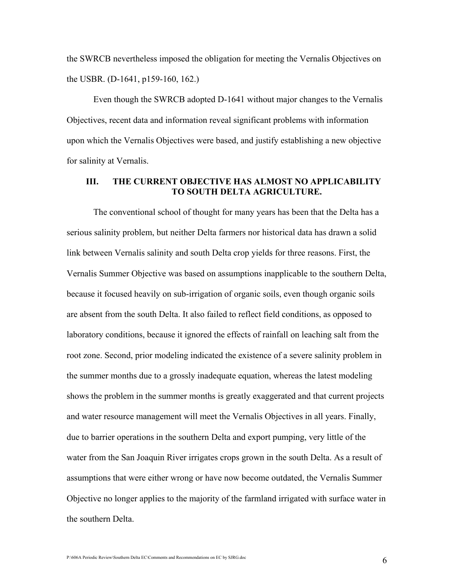the SWRCB nevertheless imposed the obligation for meeting the Vernalis Objectives on the USBR. (D-1641, p159-160, 162.)

Even though the SWRCB adopted D-1641 without major changes to the Vernalis Objectives, recent data and information reveal significant problems with information upon which the Vernalis Objectives were based, and justify establishing a new objective for salinity at Vernalis.

### III. THE CURRENT OBJECTIVE HAS ALMOST NO APPLICABILITY TO SOUTH DELTA AGRICULTURE.

The conventional school of thought for many years has been that the Delta has a serious salinity problem, but neither Delta farmers nor historical data has drawn a solid link between Vernalis salinity and south Delta crop yields for three reasons. First, the Vernalis Summer Objective was based on assumptions inapplicable to the southern Delta, because it focused heavily on sub-irrigation of organic soils, even though organic soils are absent from the south Delta. It also failed to reflect field conditions, as opposed to laboratory conditions, because it ignored the effects of rainfall on leaching salt from the root zone. Second, prior modeling indicated the existence of a severe salinity problem in the summer months due to a grossly inadequate equation, whereas the latest modeling shows the problem in the summer months is greatly exaggerated and that current projects and water resource management will meet the Vernalis Objectives in all years. Finally, due to barrier operations in the southern Delta and export pumping, very little of the water from the San Joaquin River irrigates crops grown in the south Delta. As a result of assumptions that were either wrong or have now become outdated, the Vernalis Summer Objective no longer applies to the majority of the farmland irrigated with surface water in the southern Delta.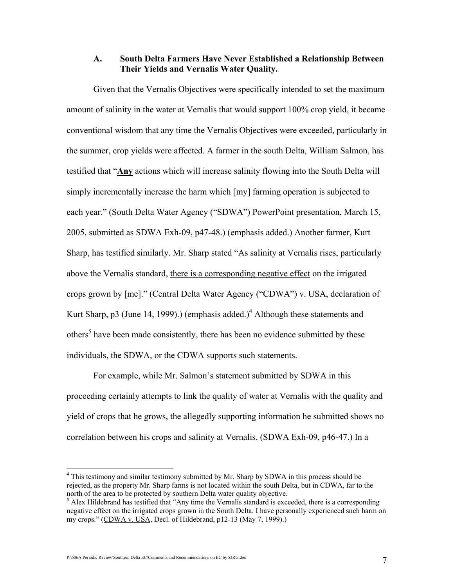#### A. South Delta Farmers Have Never Established a Relationship Between Their Yields and Vernalis Water Quality.

 Given that the Vernalis Objectives were specifically intended to set the maximum amount of salinity in the water at Vernalis that would support 100% crop yield, it became conventional wisdom that any time the Vernalis Objectives were exceeded, particularly in the summer, crop yields were affected. A farmer in the south Delta, William Salmon, has testified that "Any actions which will increase salinity flowing into the South Delta will simply incrementally increase the harm which [my] farming operation is subjected to each year." (South Delta Water Agency ("SDWA") PowerPoint presentation, March 15, 2005, submitted as SDWA Exh-09, p47-48.) (emphasis added.) Another farmer, Kurt Sharp, has testified similarly. Mr. Sharp stated "As salinity at Vernalis rises, particularly above the Vernalis standard, there is a corresponding negative effect on the irrigated crops grown by [me]." (Central Delta Water Agency ("CDWA") v. USA, declaration of Kurt Sharp, p3 (June 14, 1999).) (emphasis added.)<sup>4</sup> Although these statements and others<sup>5</sup> have been made consistently, there has been no evidence submitted by these individuals, the SDWA, or the CDWA supports such statements.

 For example, while Mr. Salmon's statement submitted by SDWA in this proceeding certainly attempts to link the quality of water at Vernalis with the quality and yield of crops that he grows, the allegedly supporting information he submitted shows no correlation between his crops and salinity at Vernalis. (SDWA Exh-09, p46-47.) In a

<sup>&</sup>lt;sup>4</sup> This testimony and similar testimony submitted by Mr. Sharp by SDWA in this process should be rejected, as the property Mr. Sharp farms is not located within the south Delta, but in CDWA, far to the north of the area to be protected by southern Delta water quality objective.

<sup>&</sup>lt;sup>5</sup> Alex Hildebrand has testified that "Any time the Vernalis standard is exceeded, there is a corresponding negative effect on the irrigated crops grown in the South Delta. I have personally experienced such harm on my crops." (CDWA v. USA, Decl. of Hildebrand, p12-13 (May 7, 1999).)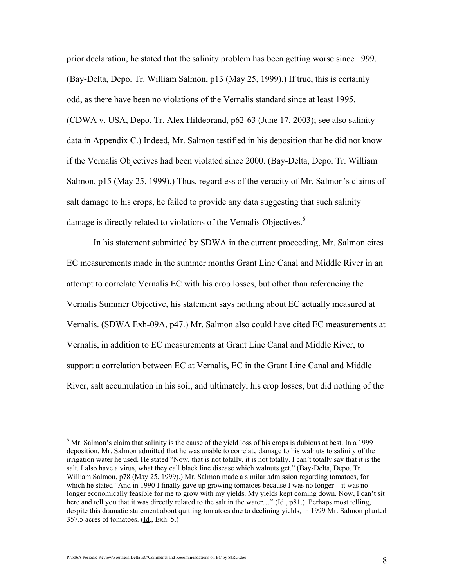prior declaration, he stated that the salinity problem has been getting worse since 1999. (Bay-Delta, Depo. Tr. William Salmon, p13 (May 25, 1999).) If true, this is certainly odd, as there have been no violations of the Vernalis standard since at least 1995. (CDWA v. USA, Depo. Tr. Alex Hildebrand, p62-63 (June 17, 2003); see also salinity data in Appendix C.) Indeed, Mr. Salmon testified in his deposition that he did not know if the Vernalis Objectives had been violated since 2000. (Bay-Delta, Depo. Tr. William Salmon, p15 (May 25, 1999).) Thus, regardless of the veracity of Mr. Salmon's claims of salt damage to his crops, he failed to provide any data suggesting that such salinity damage is directly related to violations of the Vernalis Objectives.<sup>6</sup>

 In his statement submitted by SDWA in the current proceeding, Mr. Salmon cites EC measurements made in the summer months Grant Line Canal and Middle River in an attempt to correlate Vernalis EC with his crop losses, but other than referencing the Vernalis Summer Objective, his statement says nothing about EC actually measured at Vernalis. (SDWA Exh-09A, p47.) Mr. Salmon also could have cited EC measurements at Vernalis, in addition to EC measurements at Grant Line Canal and Middle River, to support a correlation between EC at Vernalis, EC in the Grant Line Canal and Middle River, salt accumulation in his soil, and ultimately, his crop losses, but did nothing of the

<sup>&</sup>lt;sup>6</sup> Mr. Salmon's claim that salinity is the cause of the yield loss of his crops is dubious at best. In a 1999 deposition, Mr. Salmon admitted that he was unable to correlate damage to his walnuts to salinity of the irrigation water he used. He stated "Now, that is not totally. it is not totally. I can't totally say that it is the salt. I also have a virus, what they call black line disease which walnuts get." (Bay-Delta, Depo. Tr. William Salmon, p78 (May 25, 1999).) Mr. Salmon made a similar admission regarding tomatoes, for which he stated "And in 1990 I finally gave up growing tomatoes because I was no longer – it was no longer economically feasible for me to grow with my yields. My yields kept coming down. Now, I can't sit here and tell you that it was directly related to the salt in the water…" (Id., p81.) Perhaps most telling, despite this dramatic statement about quitting tomatoes due to declining yields, in 1999 Mr. Salmon planted 357.5 acres of tomatoes. (Id., Exh. 5.)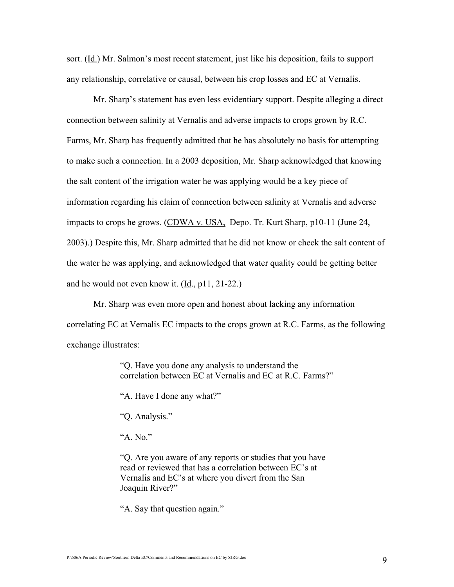sort. (Id.) Mr. Salmon's most recent statement, just like his deposition, fails to support any relationship, correlative or causal, between his crop losses and EC at Vernalis.

 Mr. Sharp's statement has even less evidentiary support. Despite alleging a direct connection between salinity at Vernalis and adverse impacts to crops grown by R.C. Farms, Mr. Sharp has frequently admitted that he has absolutely no basis for attempting to make such a connection. In a 2003 deposition, Mr. Sharp acknowledged that knowing the salt content of the irrigation water he was applying would be a key piece of information regarding his claim of connection between salinity at Vernalis and adverse impacts to crops he grows. (CDWA v. USA, Depo. Tr. Kurt Sharp, p10-11 (June 24, 2003).) Despite this, Mr. Sharp admitted that he did not know or check the salt content of the water he was applying, and acknowledged that water quality could be getting better and he would not even know it. (Id., p11, 21-22.)

 Mr. Sharp was even more open and honest about lacking any information correlating EC at Vernalis EC impacts to the crops grown at R.C. Farms, as the following exchange illustrates:

> "Q. Have you done any analysis to understand the correlation between EC at Vernalis and EC at R.C. Farms?"

"A. Have I done any what?"

"Q. Analysis."

"A. No."

"Q. Are you aware of any reports or studies that you have read or reviewed that has a correlation between EC's at Vernalis and EC's at where you divert from the San Joaquin River?"

"A. Say that question again."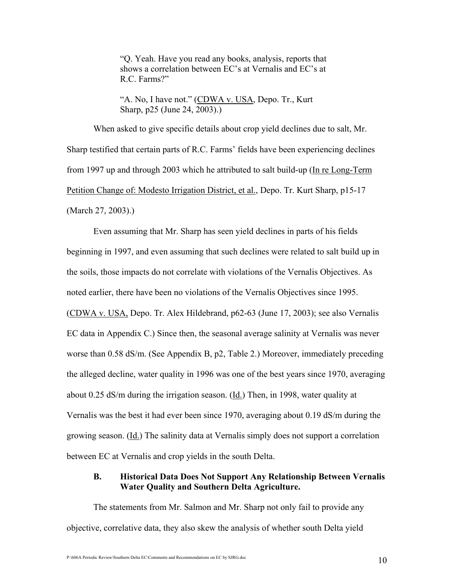"Q. Yeah. Have you read any books, analysis, reports that shows a correlation between EC's at Vernalis and EC's at R.C. Farms?"

"A. No, I have not." (CDWA v. USA, Depo. Tr., Kurt Sharp, p25 (June 24, 2003).)

When asked to give specific details about crop yield declines due to salt, Mr. Sharp testified that certain parts of R.C. Farms' fields have been experiencing declines from 1997 up and through 2003 which he attributed to salt build-up (In re Long-Term Petition Change of: Modesto Irrigation District, et al., Depo. Tr. Kurt Sharp, p15-17 (March 27, 2003).)

Even assuming that Mr. Sharp has seen yield declines in parts of his fields beginning in 1997, and even assuming that such declines were related to salt build up in the soils, those impacts do not correlate with violations of the Vernalis Objectives. As noted earlier, there have been no violations of the Vernalis Objectives since 1995. (CDWA v. USA, Depo. Tr. Alex Hildebrand, p62-63 (June 17, 2003); see also Vernalis EC data in Appendix C.) Since then, the seasonal average salinity at Vernalis was never worse than 0.58 dS/m. (See Appendix B, p2, Table 2.) Moreover, immediately preceding the alleged decline, water quality in 1996 was one of the best years since 1970, averaging about 0.25 dS/m during the irrigation season. (Id.) Then, in 1998, water quality at Vernalis was the best it had ever been since 1970, averaging about 0.19 dS/m during the growing season. (Id.) The salinity data at Vernalis simply does not support a correlation between EC at Vernalis and crop yields in the south Delta.

### B. Historical Data Does Not Support Any Relationship Between Vernalis Water Quality and Southern Delta Agriculture.

The statements from Mr. Salmon and Mr. Sharp not only fail to provide any objective, correlative data, they also skew the analysis of whether south Delta yield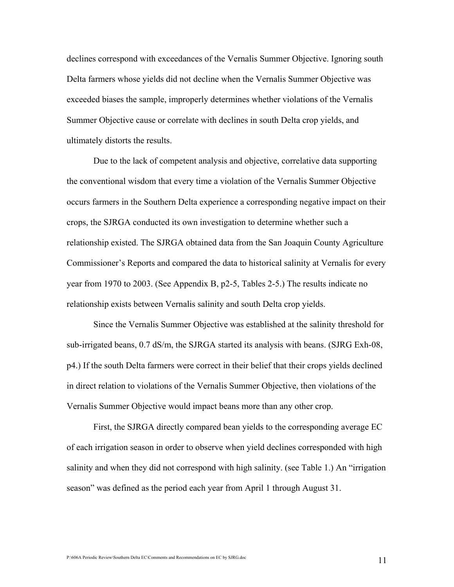declines correspond with exceedances of the Vernalis Summer Objective. Ignoring south Delta farmers whose yields did not decline when the Vernalis Summer Objective was exceeded biases the sample, improperly determines whether violations of the Vernalis Summer Objective cause or correlate with declines in south Delta crop yields, and ultimately distorts the results.

Due to the lack of competent analysis and objective, correlative data supporting the conventional wisdom that every time a violation of the Vernalis Summer Objective occurs farmers in the Southern Delta experience a corresponding negative impact on their crops, the SJRGA conducted its own investigation to determine whether such a relationship existed. The SJRGA obtained data from the San Joaquin County Agriculture Commissioner's Reports and compared the data to historical salinity at Vernalis for every year from 1970 to 2003. (See Appendix B, p2-5, Tables 2-5.) The results indicate no relationship exists between Vernalis salinity and south Delta crop yields.

Since the Vernalis Summer Objective was established at the salinity threshold for sub-irrigated beans, 0.7 dS/m, the SJRGA started its analysis with beans. (SJRG Exh-08, p4.) If the south Delta farmers were correct in their belief that their crops yields declined in direct relation to violations of the Vernalis Summer Objective, then violations of the Vernalis Summer Objective would impact beans more than any other crop.

First, the SJRGA directly compared bean yields to the corresponding average EC of each irrigation season in order to observe when yield declines corresponded with high salinity and when they did not correspond with high salinity. (see Table 1.) An "irrigation season" was defined as the period each year from April 1 through August 31.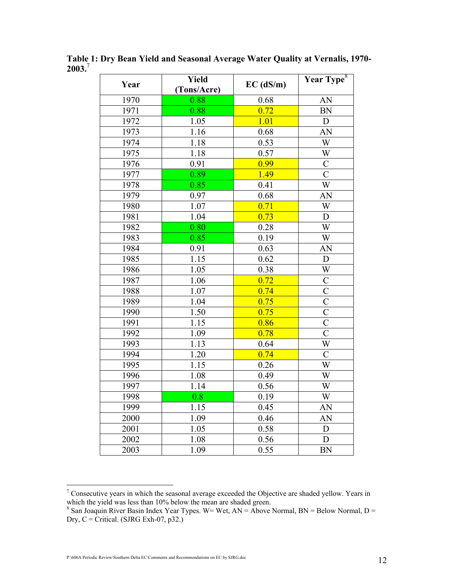| Year | Yield<br>(Tons/Acre) | $EC$ (dS/m) | Year Type <sup>8</sup> |  |
|------|----------------------|-------------|------------------------|--|
| 1970 | 0.88                 | 0.68        | AN                     |  |
| 1971 | 0.88                 | 0.72        | <b>BN</b>              |  |
| 1972 | 1.05                 | 1.01        | $\mathbf D$            |  |
| 1973 | 1.16                 | 0.68        | AN                     |  |
| 1974 | 1.18                 | 0.53        | W                      |  |
| 1975 | 1.18                 | 0.57        | W                      |  |
| 1976 | 0.91                 | 0.99        | $\overline{C}$         |  |
| 1977 | 0.89                 | 1.49        | $\overline{\rm C}$     |  |
| 1978 | 0.85                 | 0.41        | $\overline{W}$         |  |
| 1979 | 0.97                 | 0.68        | AN                     |  |
| 1980 | 1.07                 | 0.71        | W                      |  |
| 1981 | 1.04                 | 0.73        | D                      |  |
| 1982 | 0.80                 | 0.28        | W                      |  |
| 1983 | 0.85                 | 0.19        | W                      |  |
| 1984 | 0.91                 | 0.63        | AN                     |  |
| 1985 | 1.15                 | 0.62        | $\mathbf D$            |  |
| 1986 | 1.05                 | 0.38        | W                      |  |
| 1987 | 1.06                 | 0.72        | $\overline{C}$         |  |
| 1988 | 1.07                 | 0.74        | $\overline{C}$         |  |
| 1989 | 1.04                 | 0.75        | $\overline{C}$         |  |
| 1990 | 1.50                 | 0.75        | $\overline{C}$         |  |
| 1991 | 1.15                 | 0.86        | $\overline{C}$         |  |
| 1992 | 1.09                 | 0.78        | $\overline{C}$         |  |
| 1993 | 1.13                 | 0.64        | W                      |  |
| 1994 | 1.20                 | 0.74        | $\overline{C}$         |  |
| 1995 | 1.15                 | 0.26        | $\overline{\text{W}}$  |  |
| 1996 | 1.08                 | 0.49        | W                      |  |
| 1997 | 1.14                 | 0.56        | W                      |  |
| 1998 | 0.8                  | 0.19        | W                      |  |
| 1999 | 1.15                 | 0.45        | AN                     |  |
| 2000 | 1.09                 | 0.46        | AN                     |  |
| 2001 | 1.05                 | 0.58        | D                      |  |
| 2002 | 1.08                 | 0.56        | D                      |  |
| 2003 | 1.09                 | 0.55        | <b>BN</b>              |  |

Table 1: Dry Bean Yield and Seasonal Average Water Quality at Vernalis, 1970- 2003.<sup>7</sup>

<sup>&</sup>lt;sup>7</sup> Consecutive years in which the seasonal average exceeded the Objective are shaded yellow. Years in which the yield was less than 10% below the mean are shaded green.

<sup>&</sup>lt;sup>8</sup> San Joaquin River Basin Index Year Types. W= Wet,  $AN = Above$  Normal,  $BN = Below$  Normal,  $D =$ Dry,  $C =$  Critical. (SJRG Exh-07, p32.)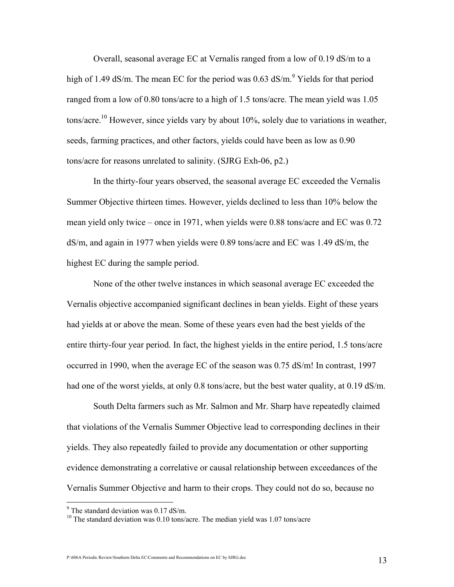Overall, seasonal average EC at Vernalis ranged from a low of 0.19 dS/m to a high of 1.49 dS/m. The mean EC for the period was  $0.63$  dS/m.<sup>9</sup> Yields for that period ranged from a low of 0.80 tons/acre to a high of 1.5 tons/acre. The mean yield was 1.05 tons/acre.<sup>10</sup> However, since yields vary by about 10%, solely due to variations in weather, seeds, farming practices, and other factors, yields could have been as low as 0.90 tons/acre for reasons unrelated to salinity. (SJRG Exh-06, p2.)

In the thirty-four years observed, the seasonal average EC exceeded the Vernalis Summer Objective thirteen times. However, yields declined to less than 10% below the mean yield only twice – once in 1971, when yields were 0.88 tons/acre and EC was 0.72 dS/m, and again in 1977 when yields were 0.89 tons/acre and EC was 1.49 dS/m, the highest EC during the sample period.

None of the other twelve instances in which seasonal average EC exceeded the Vernalis objective accompanied significant declines in bean yields. Eight of these years had yields at or above the mean. Some of these years even had the best yields of the entire thirty-four year period. In fact, the highest yields in the entire period, 1.5 tons/acre occurred in 1990, when the average EC of the season was 0.75 dS/m! In contrast, 1997 had one of the worst yields, at only 0.8 tons/acre, but the best water quality, at 0.19 dS/m.

South Delta farmers such as Mr. Salmon and Mr. Sharp have repeatedly claimed that violations of the Vernalis Summer Objective lead to corresponding declines in their yields. They also repeatedly failed to provide any documentation or other supporting evidence demonstrating a correlative or causal relationship between exceedances of the Vernalis Summer Objective and harm to their crops. They could not do so, because no

<sup>&</sup>lt;sup>9</sup> The standard deviation was 0.17 dS/m.

<sup>&</sup>lt;sup>10</sup> The standard deviation was 0.10 tons/acre. The median yield was 1.07 tons/acre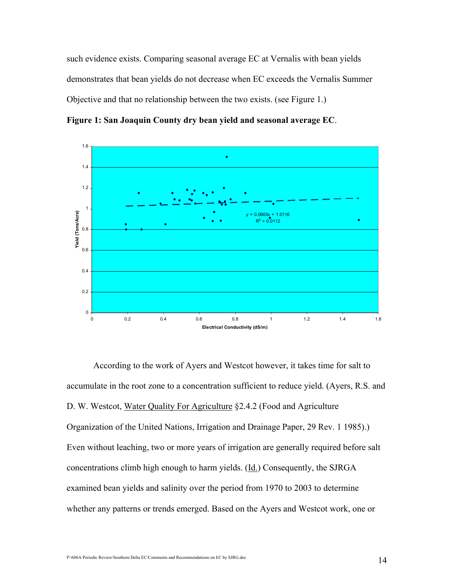such evidence exists. Comparing seasonal average EC at Vernalis with bean yields demonstrates that bean yields do not decrease when EC exceeds the Vernalis Summer Objective and that no relationship between the two exists. (see Figure 1.)

Figure 1: San Joaquin County dry bean yield and seasonal average EC.



According to the work of Ayers and Westcot however, it takes time for salt to accumulate in the root zone to a concentration sufficient to reduce yield. (Ayers, R.S. and D. W. Westcot, Water Quality For Agriculture §2.4.2 (Food and Agriculture Organization of the United Nations, Irrigation and Drainage Paper, 29 Rev. 1 1985).) Even without leaching, two or more years of irrigation are generally required before salt concentrations climb high enough to harm yields. (Id.) Consequently, the SJRGA examined bean yields and salinity over the period from 1970 to 2003 to determine whether any patterns or trends emerged. Based on the Ayers and Westcot work, one or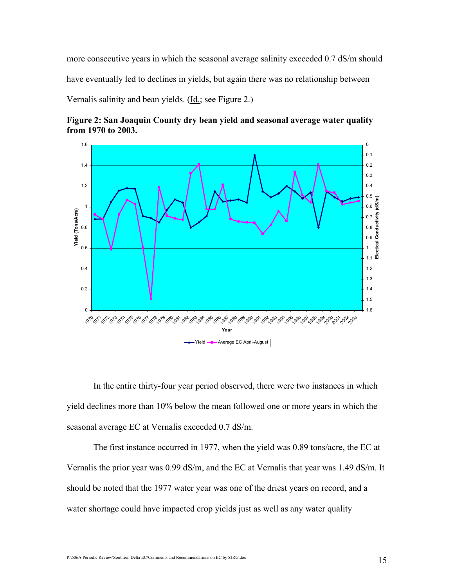more consecutive years in which the seasonal average salinity exceeded 0.7 dS/m should have eventually led to declines in yields, but again there was no relationship between

Vernalis salinity and bean yields. (Id.; see Figure 2.)





In the entire thirty-four year period observed, there were two instances in which yield declines more than 10% below the mean followed one or more years in which the seasonal average EC at Vernalis exceeded 0.7 dS/m.

The first instance occurred in 1977, when the yield was 0.89 tons/acre, the EC at Vernalis the prior year was 0.99 dS/m, and the EC at Vernalis that year was 1.49 dS/m. It should be noted that the 1977 water year was one of the driest years on record, and a water shortage could have impacted crop yields just as well as any water quality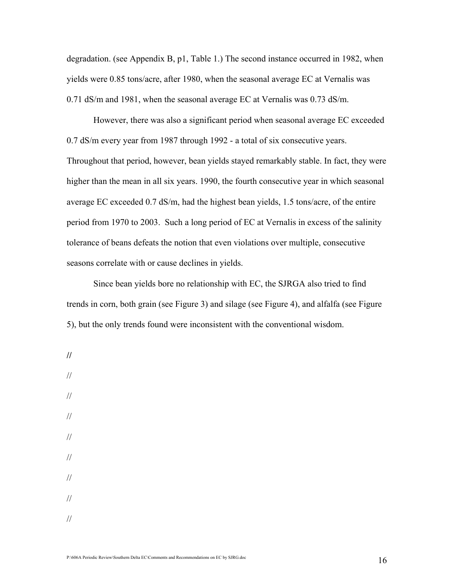degradation. (see Appendix B, p1, Table 1.) The second instance occurred in 1982, when yields were 0.85 tons/acre, after 1980, when the seasonal average EC at Vernalis was 0.71 dS/m and 1981, when the seasonal average EC at Vernalis was 0.73 dS/m.

 However, there was also a significant period when seasonal average EC exceeded 0.7 dS/m every year from 1987 through 1992 - a total of six consecutive years. Throughout that period, however, bean yields stayed remarkably stable. In fact, they were higher than the mean in all six years. 1990, the fourth consecutive year in which seasonal average EC exceeded 0.7 dS/m, had the highest bean yields, 1.5 tons/acre, of the entire period from 1970 to 2003. Such a long period of EC at Vernalis in excess of the salinity tolerance of beans defeats the notion that even violations over multiple, consecutive seasons correlate with or cause declines in yields.

Since bean yields bore no relationship with EC, the SJRGA also tried to find trends in corn, both grain (see Figure 3) and silage (see Figure 4), and alfalfa (see Figure 5), but the only trends found were inconsistent with the conventional wisdom.

//

//

// // // // // //

//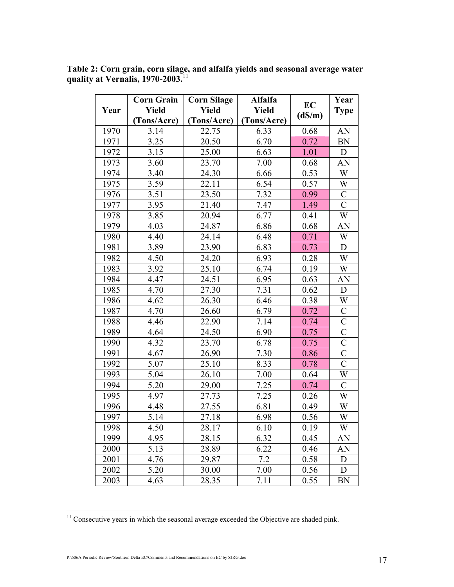Table 2: Corn grain, corn silage, and alfalfa yields and seasonal average water quality at Vernalis, 1970-2003. $^{11}$ 

|      | <b>Corn Grain</b> | <b>Corn Silage</b> | Alfalfa      | EC     | Year                  |
|------|-------------------|--------------------|--------------|--------|-----------------------|
| Year | <b>Yield</b>      | Yield              | <b>Yield</b> | (dS/m) | <b>Type</b>           |
|      | (Tons/Acre)       | (Tons/Acre)        | (Tons/Acre)  |        |                       |
| 1970 | 3.14              | 22.75              | 6.33         | 0.68   | AN                    |
| 1971 | 3.25              | 20.50              | 6.70         | 0.72   | <b>BN</b>             |
| 1972 | 3.15              | 25.00              | 6.63         | 1.01   | D                     |
| 1973 | 3.60              | 23.70              | 7.00         | 0.68   | AN                    |
| 1974 | 3.40              | 24.30              | 6.66         | 0.53   | W                     |
| 1975 | 3.59              | 22.11              | 6.54         | 0.57   | W                     |
| 1976 | 3.51              | 23.50              | 7.32         | 0.99   | $\mathcal{C}$         |
| 1977 | 3.95              | 21.40              | 7.47         | 1.49   | $\overline{C}$        |
| 1978 | 3.85              | 20.94              | 6.77         | 0.41   | W                     |
| 1979 | 4.03              | 24.87              | 6.86         | 0.68   | AN                    |
| 1980 | 4.40              | 24.14              | 6.48         | 0.71   | W                     |
| 1981 | 3.89              | 23.90              | 6.83         | 0.73   | D                     |
| 1982 | 4.50              | 24.20              | 6.93         | 0.28   | W                     |
| 1983 | 3.92              | 25.10              | 6.74         | 0.19   | W                     |
| 1984 | 4.47              | 24.51              | 6.95         | 0.63   | AN                    |
| 1985 | 4.70              | 27.30              | 7.31         | 0.62   | $\mathbf D$           |
| 1986 | 4.62              | 26.30<br>6.46      |              | 0.38   | W                     |
| 1987 | 4.70              | 6.79<br>26.60      |              | 0.72   | $\overline{C}$        |
| 1988 | 4.46              | 7.14<br>22.90      |              | 0.74   | $\overline{C}$        |
| 1989 | 24.50<br>4.64     |                    | 6.90         | 0.75   | $\mathcal{C}$         |
| 1990 | 4.32              | 23.70              | 6.78         | 0.75   | $\overline{C}$        |
| 1991 | 4.67              | 26.90              | 7.30         | 0.86   | $\mathcal{C}$         |
| 1992 | 5.07              | 25.10              | 8.33         | 0.78   | $\overline{\text{C}}$ |
| 1993 | 5.04              | 26.10              | 7.00         | 0.64   | W                     |
| 1994 | 5.20              | 29.00              | 7.25         | 0.74   | $\mathcal{C}$         |
| 1995 | 4.97              | 27.73              | 7.25         | 0.26   | W                     |
| 1996 | 4.48              | 27.55              | 6.81         | 0.49   | W                     |
| 1997 | 5.14              | 27.18              | 6.98         | 0.56   | W                     |
| 1998 | 4.50              | 28.17              | 6.10         | 0.19   | W                     |
| 1999 | 4.95              | 28.15              | 6.32         | 0.45   | AN                    |
| 2000 | 5.13              | 28.89              | 6.22         | 0.46   | AN                    |
| 2001 | 4.76              | 29.87              | 7.2          | 0.58   | D                     |
| 2002 | 5.20              | 30.00              | 7.00         | 0.56   | D                     |
| 2003 | 4.63              | 28.35              | 7.11         | 0.55   | <b>BN</b>             |

<sup>&</sup>lt;sup>11</sup> Consecutive years in which the seasonal average exceeded the Objective are shaded pink.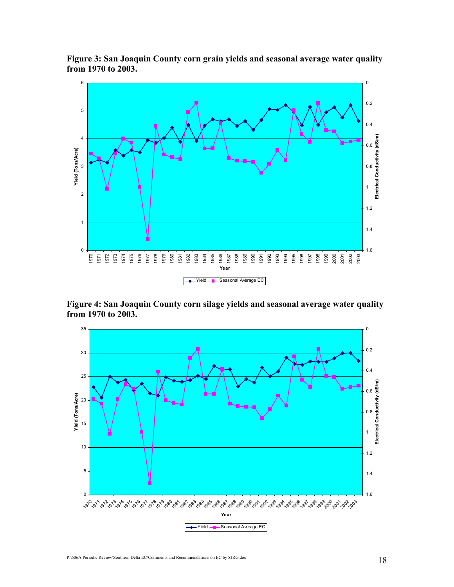

Figure 3: San Joaquin County corn grain yields and seasonal average water quality from 1970 to 2003.

Figure 4: San Joaquin County corn silage yields and seasonal average water quality from 1970 to 2003.

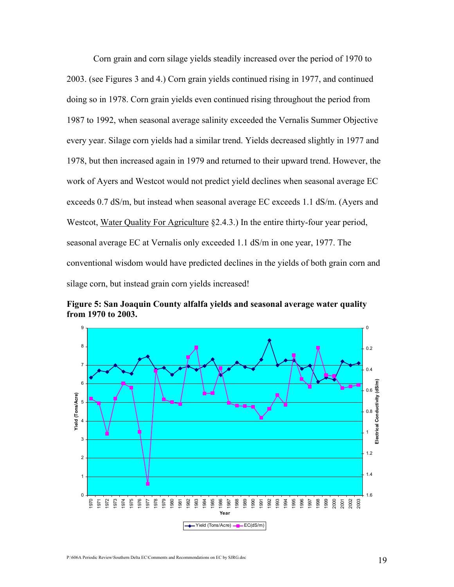Corn grain and corn silage yields steadily increased over the period of 1970 to 2003. (see Figures 3 and 4.) Corn grain yields continued rising in 1977, and continued doing so in 1978. Corn grain yields even continued rising throughout the period from 1987 to 1992, when seasonal average salinity exceeded the Vernalis Summer Objective every year. Silage corn yields had a similar trend. Yields decreased slightly in 1977 and 1978, but then increased again in 1979 and returned to their upward trend. However, the work of Ayers and Westcot would not predict yield declines when seasonal average EC exceeds 0.7 dS/m, but instead when seasonal average EC exceeds 1.1 dS/m. (Ayers and Westcot, Water Quality For Agriculture §2.4.3.) In the entire thirty-four year period, seasonal average EC at Vernalis only exceeded 1.1 dS/m in one year, 1977. The conventional wisdom would have predicted declines in the yields of both grain corn and silage corn, but instead grain corn yields increased!

Figure 5: San Joaquin County alfalfa yields and seasonal average water quality from 1970 to 2003.

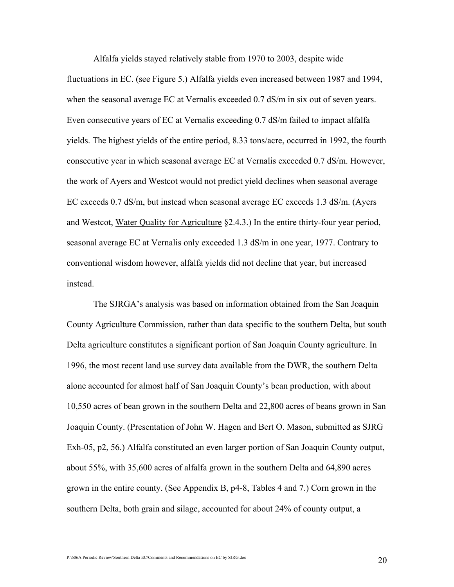Alfalfa yields stayed relatively stable from 1970 to 2003, despite wide

fluctuations in EC. (see Figure 5.) Alfalfa yields even increased between 1987 and 1994, when the seasonal average EC at Vernalis exceeded 0.7 dS/m in six out of seven years. Even consecutive years of EC at Vernalis exceeding 0.7 dS/m failed to impact alfalfa yields. The highest yields of the entire period, 8.33 tons/acre, occurred in 1992, the fourth consecutive year in which seasonal average EC at Vernalis exceeded 0.7 dS/m. However, the work of Ayers and Westcot would not predict yield declines when seasonal average EC exceeds 0.7 dS/m, but instead when seasonal average EC exceeds 1.3 dS/m. (Ayers and Westcot, Water Quality for Agriculture §2.4.3.) In the entire thirty-four year period, seasonal average EC at Vernalis only exceeded 1.3 dS/m in one year, 1977. Contrary to conventional wisdom however, alfalfa yields did not decline that year, but increased instead.

The SJRGA's analysis was based on information obtained from the San Joaquin County Agriculture Commission, rather than data specific to the southern Delta, but south Delta agriculture constitutes a significant portion of San Joaquin County agriculture. In 1996, the most recent land use survey data available from the DWR, the southern Delta alone accounted for almost half of San Joaquin County's bean production, with about 10,550 acres of bean grown in the southern Delta and 22,800 acres of beans grown in San Joaquin County. (Presentation of John W. Hagen and Bert O. Mason, submitted as SJRG Exh-05, p2, 56.) Alfalfa constituted an even larger portion of San Joaquin County output, about 55%, with 35,600 acres of alfalfa grown in the southern Delta and 64,890 acres grown in the entire county. (See Appendix B, p4-8, Tables 4 and 7.) Corn grown in the southern Delta, both grain and silage, accounted for about 24% of county output, a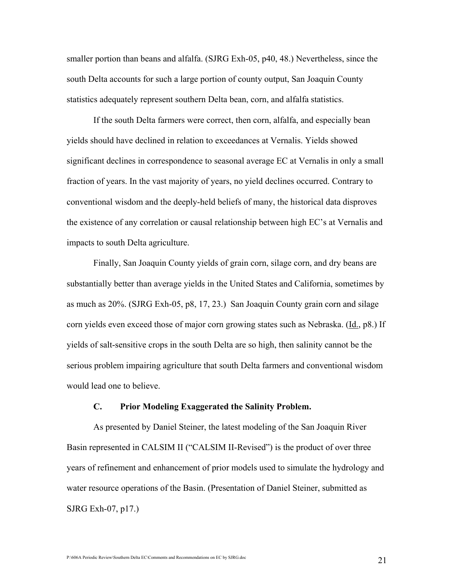smaller portion than beans and alfalfa. (SJRG Exh-05, p40, 48.) Nevertheless, since the south Delta accounts for such a large portion of county output, San Joaquin County statistics adequately represent southern Delta bean, corn, and alfalfa statistics.

If the south Delta farmers were correct, then corn, alfalfa, and especially bean yields should have declined in relation to exceedances at Vernalis. Yields showed significant declines in correspondence to seasonal average EC at Vernalis in only a small fraction of years. In the vast majority of years, no yield declines occurred. Contrary to conventional wisdom and the deeply-held beliefs of many, the historical data disproves the existence of any correlation or causal relationship between high EC's at Vernalis and impacts to south Delta agriculture.

Finally, San Joaquin County yields of grain corn, silage corn, and dry beans are substantially better than average yields in the United States and California, sometimes by as much as 20%. (SJRG Exh-05, p8, 17, 23.) San Joaquin County grain corn and silage corn yields even exceed those of major corn growing states such as Nebraska. (Id., p8.) If yields of salt-sensitive crops in the south Delta are so high, then salinity cannot be the serious problem impairing agriculture that south Delta farmers and conventional wisdom would lead one to believe.

#### C. Prior Modeling Exaggerated the Salinity Problem.

As presented by Daniel Steiner, the latest modeling of the San Joaquin River Basin represented in CALSIM II ("CALSIM II-Revised") is the product of over three years of refinement and enhancement of prior models used to simulate the hydrology and water resource operations of the Basin. (Presentation of Daniel Steiner, submitted as SJRG Exh-07, p17.)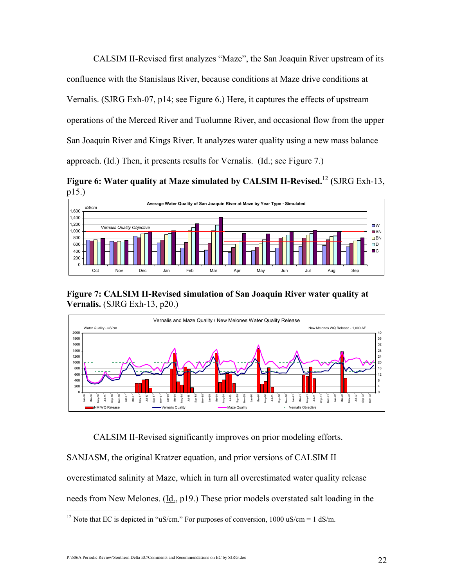CALSIM II-Revised first analyzes "Maze", the San Joaquin River upstream of its confluence with the Stanislaus River, because conditions at Maze drive conditions at Vernalis. (SJRG Exh-07, p14; see Figure 6.) Here, it captures the effects of upstream operations of the Merced River and Tuolumne River, and occasional flow from the upper San Joaquin River and Kings River. It analyzes water quality using a new mass balance approach. (Id.) Then, it presents results for Vernalis. (Id.; see Figure 7.)

Figure 6: Water quality at Maze simulated by CALSIM II-Revised.<sup>12</sup> (SJRG Exh-13, p15.)



Figure 7: CALSIM II-Revised simulation of San Joaquin River water quality at Vernalis. (SJRG Exh-13, p20.)



CALSIM II-Revised significantly improves on prior modeling efforts.

SANJASM, the original Kratzer equation, and prior versions of CALSIM II

overestimated salinity at Maze, which in turn all overestimated water quality release

needs from New Melones. (Id., p19.) These prior models overstated salt loading in the

 $\overline{a}$ <sup>12</sup> Note that EC is depicted in "uS/cm." For purposes of conversion, 1000 uS/cm = 1 dS/m.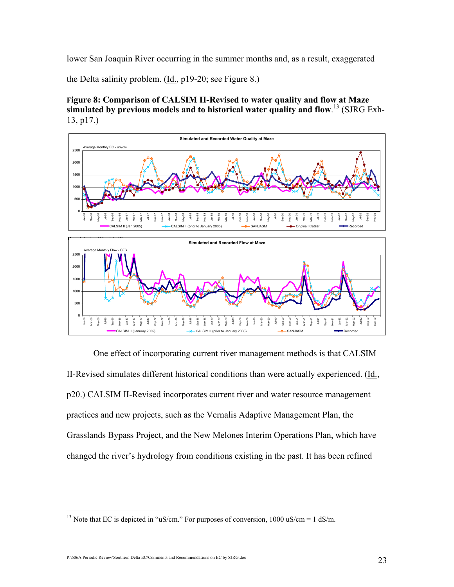lower San Joaquin River occurring in the summer months and, as a result, exaggerated

the Delta salinity problem.  $(\underline{Id}, p19-20)$ ; see Figure 8.)

Figure 8: Comparison of CALSIM II-Revised to water quality and flow at Maze simulated by previous models and to historical water quality and flow.<sup>13</sup> (SJRG Exh-13, p17.)





One effect of incorporating current river management methods is that CALSIM II-Revised simulates different historical conditions than were actually experienced. (Id., p20.) CALSIM II-Revised incorporates current river and water resource management practices and new projects, such as the Vernalis Adaptive Management Plan, the Grasslands Bypass Project, and the New Melones Interim Operations Plan, which have changed the river's hydrology from conditions existing in the past. It has been refined

P:\606A Periodic Review\Southern Delta EC\Comments and Recommendations on EC by SJRG.doc 23

 $\overline{a}$ <sup>13</sup> Note that EC is depicted in "uS/cm." For purposes of conversion,  $1000 \text{ uS/cm} = 1 \text{ dS/m}$ .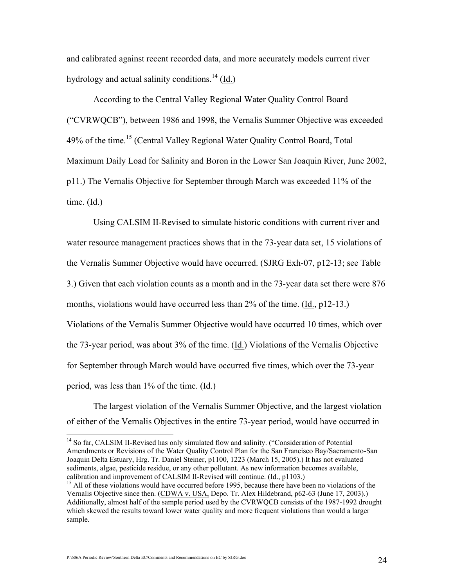and calibrated against recent recorded data, and more accurately models current river hydrology and actual salinity conditions.<sup>14</sup> (Id.)

According to the Central Valley Regional Water Quality Control Board ("CVRWQCB"), between 1986 and 1998, the Vernalis Summer Objective was exceeded 49% of the time.<sup>15</sup> (Central Valley Regional Water Quality Control Board, Total Maximum Daily Load for Salinity and Boron in the Lower San Joaquin River, June 2002, p11.) The Vernalis Objective for September through March was exceeded 11% of the time. (Id.)

Using CALSIM II-Revised to simulate historic conditions with current river and water resource management practices shows that in the 73-year data set, 15 violations of the Vernalis Summer Objective would have occurred. (SJRG Exh-07, p12-13; see Table 3.) Given that each violation counts as a month and in the 73-year data set there were 876 months, violations would have occurred less than 2% of the time. (Id., p12-13.) Violations of the Vernalis Summer Objective would have occurred 10 times, which over the 73-year period, was about 3% of the time.  $(\underline{Id})$  Violations of the Vernalis Objective for September through March would have occurred five times, which over the 73-year period, was less than 1% of the time. (Id.)

The largest violation of the Vernalis Summer Objective, and the largest violation of either of the Vernalis Objectives in the entire 73-year period, would have occurred in

<sup>14</sup> So far, CALSIM II-Revised has only simulated flow and salinity. ("Consideration of Potential Amendments or Revisions of the Water Quality Control Plan for the San Francisco Bay/Sacramento-San Joaquin Delta Estuary, Hrg. Tr. Daniel Steiner, p1100, 1223 (March 15, 2005).) It has not evaluated sediments, algae, pesticide residue, or any other pollutant. As new information becomes available, calibration and improvement of CALSIM II-Revised will continue. (Id., p1103.)

P:\606A Periodic Review\Southern Delta EC\Comments and Recommendations on EC by SJRG.doc  $24$ 

<sup>&</sup>lt;sup>15</sup> All of these violations would have occurred before 1995, because there have been no violations of the Vernalis Objective since then. (CDWA v. USA, Depo. Tr. Alex Hildebrand, p62-63 (June 17, 2003).) Additionally, almost half of the sample period used by the CVRWQCB consists of the 1987-1992 drought which skewed the results toward lower water quality and more frequent violations than would a larger sample.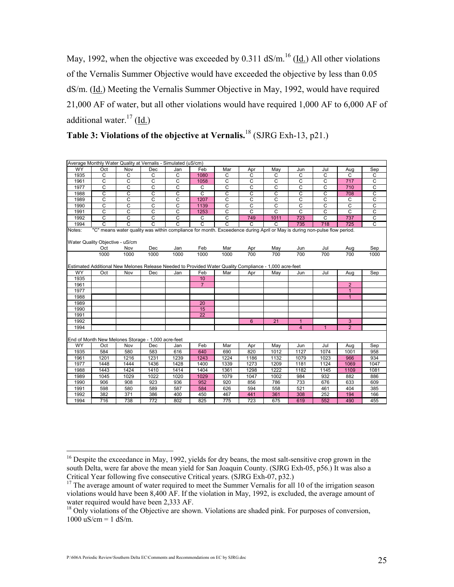May, 1992, when the objective was exceeded by 0.311  $dS/m$ <sup>16</sup> (Id.) All other violations of the Vernalis Summer Objective would have exceeded the objective by less than 0.05 dS/m. (Id.) Meeting the Vernalis Summer Objective in May, 1992, would have required 21,000 AF of water, but all other violations would have required 1,000 AF to 6,000 AF of additional water. $^{17}$  (Id.)

|              | Average Monthly Water Quality at Vernalis - Simulated (uS/cm) |                |                       |                         |                       |                                                                                                                          |                       |                       |                |                |                                  |                       |
|--------------|---------------------------------------------------------------|----------------|-----------------------|-------------------------|-----------------------|--------------------------------------------------------------------------------------------------------------------------|-----------------------|-----------------------|----------------|----------------|----------------------------------|-----------------------|
| <b>WY</b>    | Oct                                                           | Nov            | Dec                   | Jan                     | Feb                   | Mar                                                                                                                      | Apr                   | May                   | Jun            | Jul            | Aug                              | Sep                   |
| 1935         | $\overline{c}$                                                | $\overline{C}$ | $\overline{c}$        | $\overline{C}$          | 1080                  | $\overline{C}$                                                                                                           | C                     | C                     | $\overline{c}$ | $\overline{c}$ | $\overline{C}$                   | C                     |
| 1961         | C                                                             | $\overline{C}$ | C                     | C                       | 1058                  | C                                                                                                                        | $\overline{C}$        | $\overline{c}$        | C              | C              | 717                              | $\overline{c}$        |
| 1977         | $\mathsf C$                                                   | C              | C                     | $\mathsf C$             | C                     | С                                                                                                                        | C                     | $\mathsf C$           | $\mathsf C$    | C              | 710                              | $\overline{C}$        |
| 1988         | C                                                             | C              | $\overline{c}$        | C                       | $\mathsf{C}$          | C                                                                                                                        | C                     | C                     | С              | C              | 708                              |                       |
| 1989         | $\overline{C}$                                                | C              | $\overline{\text{c}}$ | $\overline{\mathsf{c}}$ | 1207                  | $\overline{c}$                                                                                                           | $\overline{\text{c}}$ | $\overline{\text{c}}$ | $\overline{c}$ | C              | $\mathsf{C}$                     | $rac{C}{C}$           |
| 1990         | $\overline{c}$                                                | C              | $\overline{c}$        | C                       | 1139                  | C                                                                                                                        | C                     | C                     | $\overline{c}$ | C              | $\overline{C}$                   | $\overline{\text{c}}$ |
| 1991         | $\overline{\mathsf{c}}$                                       | C              | $\overline{\text{c}}$ | $\overline{c}$          | 1253                  | C                                                                                                                        | C                     | C                     | $\overline{c}$ | C              | $\overline{c}$                   | $\overline{c}$        |
| 1992         | $\overline{C}$                                                | C              | $\overline{C}$        | $\overline{C}$          | $\overline{C}$        | C                                                                                                                        | 749                   | 1011                  | 723            | C              | 737                              | $\overline{c}$        |
| 1994         | $\overline{\text{c}}$                                         | C              | $\overline{\text{c}}$ | $\overline{\text{c}}$   | $\overline{\text{c}}$ | $\overline{\text{c}}$                                                                                                    | $\overline{\text{c}}$ | $\overline{\text{c}}$ | 735            | 718            | 725                              | $\overline{\text{c}}$ |
| Notes:       | Water Quality Objective - uS/cm                               |                |                       |                         |                       | "C" means water quality was within compliance for month. Exceedence during April or May is during non-pulse flow period. |                       |                       |                |                |                                  |                       |
|              | Oct                                                           | Nov            | Dec                   | Jan                     | Feb                   | Mar                                                                                                                      | Apr                   | May                   | Jun            | Jul            | Aug                              | Sep                   |
|              | 1000                                                          | 1000           | 1000                  | 1000                    | 1000                  | 1000                                                                                                                     | 700                   | 700                   | 700            | 700            | 700                              | 1000                  |
| <b>WY</b>    |                                                               | Nov            | Dec                   | Jan                     | Feb                   | Estimated Additional New Melones Release Needed to Provided Water Quality Compliance - 1,000 acre-feet<br>Mar            |                       | May                   |                | Jul            |                                  |                       |
| 1935         | Oct                                                           |                |                       |                         | 10                    |                                                                                                                          | Apr                   |                       | Jun            |                | Aug                              | Sep                   |
|              |                                                               |                |                       |                         | $\overline{7}$        |                                                                                                                          |                       |                       |                |                |                                  |                       |
| 1961<br>1977 |                                                               |                |                       |                         |                       |                                                                                                                          |                       |                       |                |                | $\overline{2}$<br>$\overline{1}$ |                       |
| 1988         |                                                               |                |                       |                         |                       |                                                                                                                          |                       |                       |                |                | $\mathbf{1}$                     |                       |
| 1989         |                                                               |                |                       |                         | 20                    |                                                                                                                          |                       |                       |                |                |                                  |                       |
|              |                                                               |                |                       |                         | 15                    |                                                                                                                          |                       |                       |                |                |                                  |                       |
| 1990<br>1991 |                                                               |                |                       |                         | 22                    |                                                                                                                          |                       |                       |                |                |                                  |                       |
| 1992         |                                                               |                |                       |                         |                       |                                                                                                                          | $6\phantom{1}$        | 21                    | $\mathbf{1}$   |                | 3                                |                       |
|              |                                                               |                |                       |                         |                       |                                                                                                                          |                       |                       |                | $\overline{1}$ |                                  |                       |
| 1994         |                                                               |                |                       |                         |                       |                                                                                                                          |                       |                       | $\overline{4}$ |                | $\overline{2}$                   |                       |
|              | End of Month New Melones Storage - 1,000 acre-feet            |                |                       |                         |                       |                                                                                                                          |                       |                       |                |                |                                  |                       |
| <b>WY</b>    | Oct                                                           | Nov            | Dec                   | Jan                     | Feb                   | Mar                                                                                                                      | Apr                   | May                   | Jun            | Jul            | Aug                              | Sep                   |
| 1935         | 584                                                           | 580            | 583                   | 616                     | 640                   | 690                                                                                                                      | 820                   | 1012                  | 1127           | 1074           | 1001                             | 958                   |
| 1961         | 1201                                                          | 1216           | 1231                  | 1239                    | 1243                  | 1224                                                                                                                     | 1186                  | 1132                  | 1079           | 1023           | 966                              | 934                   |
| 1977         | 1448                                                          | 1444           | 1436                  | 1428                    | 1400                  | 1339                                                                                                                     | 1273                  | 1209                  | 1181           | 1124           | 1069                             | 1047                  |
| 1988         | 1443                                                          | 1424           | 1410                  | 1414                    | 1404                  | 1361                                                                                                                     | 1298                  | 1222                  | 1182           | 1145           | 1109                             | 1081                  |
| 1989         | 1045                                                          | 1029           | 1022                  | 1020                    | 1029                  | 1079                                                                                                                     | 1047                  | 1002                  | 984            | 932            | 882                              | 886                   |
| 1990         | 906                                                           | 908            | 923                   | 936                     | 952                   | 920                                                                                                                      | 856                   | 786                   | 733            | 676            | 633                              | 609                   |
| 1991         | 598                                                           | 580            | 589                   | 587                     | 584                   | 626                                                                                                                      | 594                   | 558                   | 521            | 461            | 404                              | 385                   |
| 1992         | 382                                                           | 371            | 386                   | 400                     | 450                   | 467                                                                                                                      | 441                   | 361                   | 308            | 252            | 194                              | 166                   |
| 1994         | 716                                                           | 738            | 772                   | 802                     | 825                   | 775                                                                                                                      | 723                   | 675                   | 619            | 552            | 490                              | 455                   |

| Table 3: Violations of the objective at Vernalis. <sup>18</sup> (SJRG Exh-13, p21.) |  |
|-------------------------------------------------------------------------------------|--|
|-------------------------------------------------------------------------------------|--|

<sup>&</sup>lt;sup>16</sup> Despite the exceedance in May, 1992, yields for dry beans, the most salt-sensitive crop grown in the south Delta, were far above the mean yield for San Joaquin County. (SJRG Exh-05, p56.) It was also a Critical Year following five consecutive Critical years. (SJRG Exh-07, p32.)

<sup>&</sup>lt;sup>17</sup> The average amount of water required to meet the Summer Vernalis for all 10 of the irrigation season violations would have been 8,400 AF. If the violation in May, 1992, is excluded, the average amount of water required would have been 2,333 AF.

<sup>&</sup>lt;sup>18</sup> Only violations of the Objective are shown. Violations are shaded pink. For purposes of conversion,  $1000 \text{ uS/cm} = 1 \text{ dS/m}.$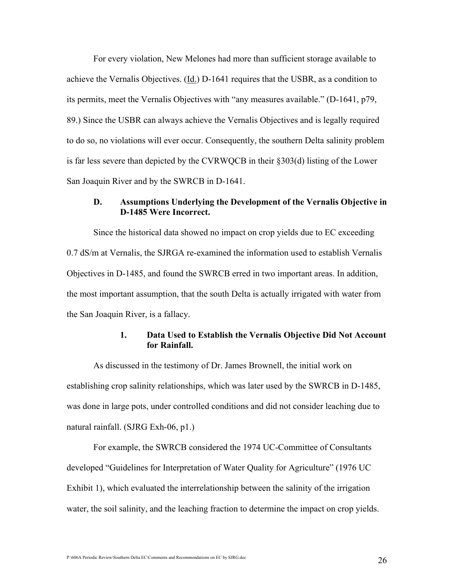For every violation, New Melones had more than sufficient storage available to achieve the Vernalis Objectives. (Id.) D-1641 requires that the USBR, as a condition to its permits, meet the Vernalis Objectives with "any measures available." (D-1641, p79, 89.) Since the USBR can always achieve the Vernalis Objectives and is legally required to do so, no violations will ever occur. Consequently, the southern Delta salinity problem is far less severe than depicted by the CVRWQCB in their §303(d) listing of the Lower San Joaquin River and by the SWRCB in D-1641.

### D. Assumptions Underlying the Development of the Vernalis Objective in D-1485 Were Incorrect.

Since the historical data showed no impact on crop yields due to EC exceeding 0.7 dS/m at Vernalis, the SJRGA re-examined the information used to establish Vernalis Objectives in D-1485, and found the SWRCB erred in two important areas. In addition, the most important assumption, that the south Delta is actually irrigated with water from the San Joaquin River, is a fallacy.

#### 1. Data Used to Establish the Vernalis Objective Did Not Account for Rainfall.

As discussed in the testimony of Dr. James Brownell, the initial work on establishing crop salinity relationships, which was later used by the SWRCB in D-1485, was done in large pots, under controlled conditions and did not consider leaching due to natural rainfall. (SJRG Exh-06, p1.)

For example, the SWRCB considered the 1974 UC-Committee of Consultants developed "Guidelines for Interpretation of Water Quality for Agriculture" (1976 UC Exhibit 1), which evaluated the interrelationship between the salinity of the irrigation water, the soil salinity, and the leaching fraction to determine the impact on crop yields.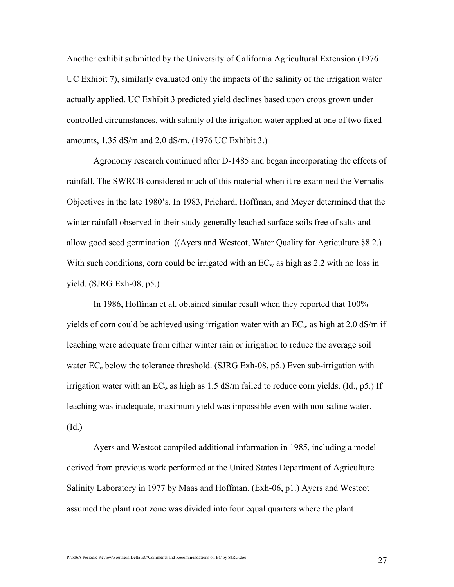Another exhibit submitted by the University of California Agricultural Extension (1976 UC Exhibit 7), similarly evaluated only the impacts of the salinity of the irrigation water actually applied. UC Exhibit 3 predicted yield declines based upon crops grown under controlled circumstances, with salinity of the irrigation water applied at one of two fixed amounts, 1.35 dS/m and 2.0 dS/m. (1976 UC Exhibit 3.)

Agronomy research continued after D-1485 and began incorporating the effects of rainfall. The SWRCB considered much of this material when it re-examined the Vernalis Objectives in the late 1980's. In 1983, Prichard, Hoffman, and Meyer determined that the winter rainfall observed in their study generally leached surface soils free of salts and allow good seed germination. ((Ayers and Westcot, Water Quality for Agriculture §8.2.) With such conditions, corn could be irrigated with an  $EC_w$  as high as 2.2 with no loss in yield. (SJRG Exh-08, p5.)

In 1986, Hoffman et al. obtained similar result when they reported that 100% yields of corn could be achieved using irrigation water with an  $EC_w$  as high at 2.0 dS/m if leaching were adequate from either winter rain or irrigation to reduce the average soil water  $EC_e$  below the tolerance threshold. (SJRG Exh-08, p5.) Even sub-irrigation with irrigation water with an  $EC_w$  as high as 1.5 dS/m failed to reduce corn yields. (Id., p5.) If leaching was inadequate, maximum yield was impossible even with non-saline water.  $(\underline{Id.})$ 

Ayers and Westcot compiled additional information in 1985, including a model derived from previous work performed at the United States Department of Agriculture Salinity Laboratory in 1977 by Maas and Hoffman. (Exh-06, p1.) Ayers and Westcot assumed the plant root zone was divided into four equal quarters where the plant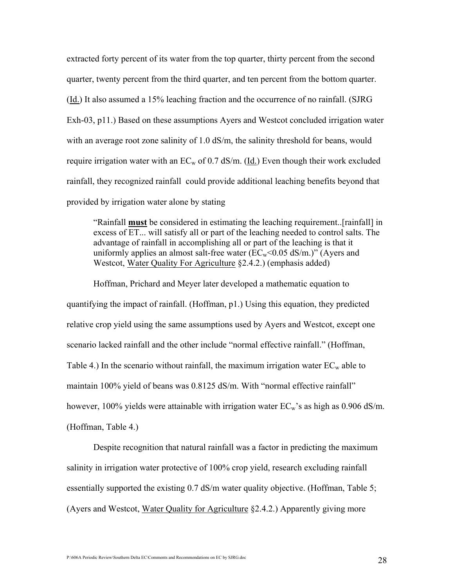extracted forty percent of its water from the top quarter, thirty percent from the second quarter, twenty percent from the third quarter, and ten percent from the bottom quarter. (Id.) It also assumed a 15% leaching fraction and the occurrence of no rainfall. (SJRG Exh-03, p11.) Based on these assumptions Ayers and Westcot concluded irrigation water with an average root zone salinity of 1.0 dS/m, the salinity threshold for beans, would require irrigation water with an  $EC_w$  of 0.7 dS/m. (Id.) Even though their work excluded rainfall, they recognized rainfall could provide additional leaching benefits beyond that provided by irrigation water alone by stating

"Rainfall must be considered in estimating the leaching requirement..[rainfall] in excess of ET... will satisfy all or part of the leaching needed to control salts. The advantage of rainfall in accomplishing all or part of the leaching is that it uniformly applies an almost salt-free water  $(EC_w<0.05 \text{ dS/m.})$ " (Ayers and Westcot, Water Quality For Agriculture §2.4.2.) (emphasis added)

Hoffman, Prichard and Meyer later developed a mathematic equation to quantifying the impact of rainfall. (Hoffman, p1.) Using this equation, they predicted relative crop yield using the same assumptions used by Ayers and Westcot, except one scenario lacked rainfall and the other include "normal effective rainfall." (Hoffman, Table 4.) In the scenario without rainfall, the maximum irrigation water  $EC_w$  able to maintain 100% yield of beans was 0.8125 dS/m. With "normal effective rainfall" however, 100% yields were attainable with irrigation water  $EC_w$ 's as high as 0.906 dS/m. (Hoffman, Table 4.)

Despite recognition that natural rainfall was a factor in predicting the maximum salinity in irrigation water protective of 100% crop yield, research excluding rainfall essentially supported the existing 0.7 dS/m water quality objective. (Hoffman, Table 5; (Ayers and Westcot, Water Quality for Agriculture §2.4.2.) Apparently giving more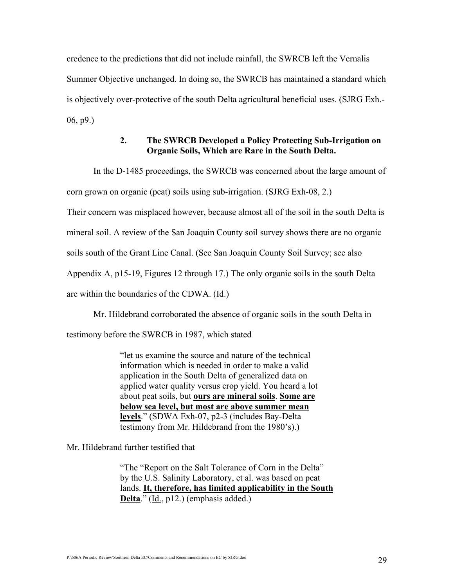credence to the predictions that did not include rainfall, the SWRCB left the Vernalis Summer Objective unchanged. In doing so, the SWRCB has maintained a standard which is objectively over-protective of the south Delta agricultural beneficial uses. (SJRG Exh.- 06, p9.)

#### 2. The SWRCB Developed a Policy Protecting Sub-Irrigation on Organic Soils, Which are Rare in the South Delta.

In the D-1485 proceedings, the SWRCB was concerned about the large amount of

corn grown on organic (peat) soils using sub-irrigation. (SJRG Exh-08, 2.)

Their concern was misplaced however, because almost all of the soil in the south Delta is

mineral soil. A review of the San Joaquin County soil survey shows there are no organic

soils south of the Grant Line Canal. (See San Joaquin County Soil Survey; see also

Appendix A, p15-19, Figures 12 through 17.) The only organic soils in the south Delta

are within the boundaries of the CDWA. (Id.)

Mr. Hildebrand corroborated the absence of organic soils in the south Delta in

testimony before the SWRCB in 1987, which stated

"let us examine the source and nature of the technical information which is needed in order to make a valid application in the South Delta of generalized data on applied water quality versus crop yield. You heard a lot about peat soils, but ours are mineral soils. Some are below sea level, but most are above summer mean levels." (SDWA Exh-07, p2-3 (includes Bay-Delta testimony from Mr. Hildebrand from the 1980's).)

Mr. Hildebrand further testified that

"The "Report on the Salt Tolerance of Corn in the Delta" by the U.S. Salinity Laboratory, et al. was based on peat lands. It, therefore, has limited applicability in the South Delta." (Id., p12.) (emphasis added.)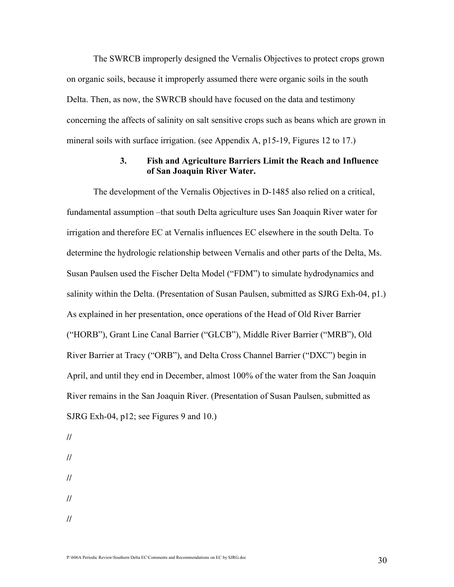The SWRCB improperly designed the Vernalis Objectives to protect crops grown on organic soils, because it improperly assumed there were organic soils in the south Delta. Then, as now, the SWRCB should have focused on the data and testimony concerning the affects of salinity on salt sensitive crops such as beans which are grown in mineral soils with surface irrigation. (see Appendix A, p15-19, Figures 12 to 17.)

#### 3. Fish and Agriculture Barriers Limit the Reach and Influence of San Joaquin River Water.

The development of the Vernalis Objectives in D-1485 also relied on a critical, fundamental assumption –that south Delta agriculture uses San Joaquin River water for irrigation and therefore EC at Vernalis influences EC elsewhere in the south Delta. To determine the hydrologic relationship between Vernalis and other parts of the Delta, Ms. Susan Paulsen used the Fischer Delta Model ("FDM") to simulate hydrodynamics and salinity within the Delta. (Presentation of Susan Paulsen, submitted as SJRG Exh-04, p1.) As explained in her presentation, once operations of the Head of Old River Barrier ("HORB"), Grant Line Canal Barrier ("GLCB"), Middle River Barrier ("MRB"), Old River Barrier at Tracy ("ORB"), and Delta Cross Channel Barrier ("DXC") begin in April, and until they end in December, almost 100% of the water from the San Joaquin River remains in the San Joaquin River. (Presentation of Susan Paulsen, submitted as SJRG Exh-04, p12; see Figures 9 and 10.)

// // // //

//

P:\606A Periodic Review\Southern Delta EC\Comments and Recommendations on EC by SJRG.doc  $30$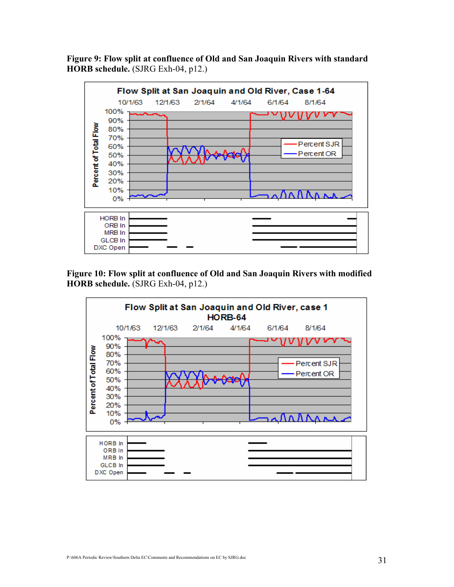Figure 9: Flow split at confluence of Old and San Joaquin Rivers with standard HORB schedule. (SJRG Exh-04, p12.)



Figure 10: Flow split at confluence of Old and San Joaquin Rivers with modified HORB schedule. (SJRG Exh-04, p12.)

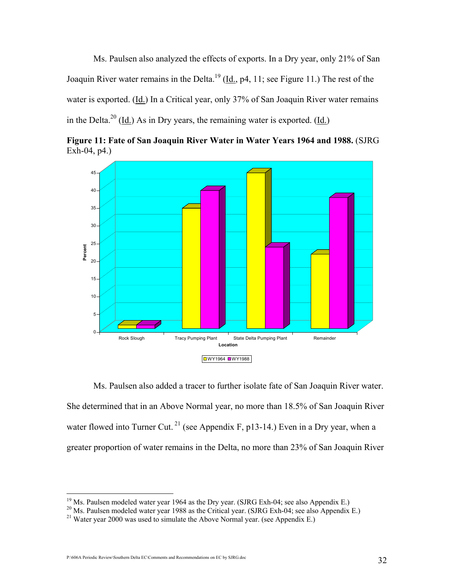Ms. Paulsen also analyzed the effects of exports. In a Dry year, only 21% of San Joaquin River water remains in the Delta.<sup>19</sup> (Id., p4, 11; see Figure 11.) The rest of the water is exported. (Id.) In a Critical year, only 37% of San Joaquin River water remains in the Delta.<sup>20</sup> (Id.) As in Dry years, the remaining water is exported. (Id.)





Ms. Paulsen also added a tracer to further isolate fate of San Joaquin River water. She determined that in an Above Normal year, no more than 18.5% of San Joaquin River water flowed into Turner Cut.<sup>21</sup> (see Appendix F, p13-14.) Even in a Dry year, when a greater proportion of water remains in the Delta, no more than 23% of San Joaquin River

P:\606A Periodic Review\Southern Delta EC\Comments and Recommendations on EC by SJRG.doc 32

<sup>&</sup>lt;sup>19</sup> Ms. Paulsen modeled water year 1964 as the Dry year. (SJRG Exh-04; see also Appendix E.)

<sup>&</sup>lt;sup>20</sup> Ms. Paulsen modeled water year 1988 as the Critical year. (SJRG Exh-04; see also Appendix E.)

<sup>&</sup>lt;sup>21</sup> Water vear 2000 was used to simulate the Above Normal year. (see Appendix E.)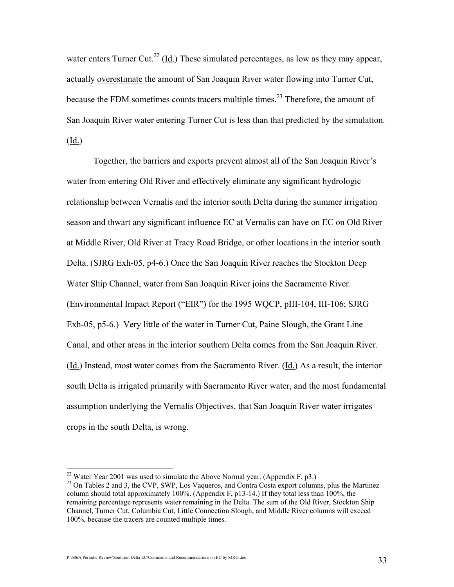water enters Turner Cut.<sup>22</sup> (<u>Id.</u>) These simulated percentages, as low as they may appear, actually overestimate the amount of San Joaquin River water flowing into Turner Cut, because the FDM sometimes counts tracers multiple times.<sup>23</sup> Therefore, the amount of San Joaquin River water entering Turner Cut is less than that predicted by the simulation. (Id.)

Together, the barriers and exports prevent almost all of the San Joaquin River's water from entering Old River and effectively eliminate any significant hydrologic relationship between Vernalis and the interior south Delta during the summer irrigation season and thwart any significant influence EC at Vernalis can have on EC on Old River at Middle River, Old River at Tracy Road Bridge, or other locations in the interior south Delta. (SJRG Exh-05, p4-6.) Once the San Joaquin River reaches the Stockton Deep Water Ship Channel, water from San Joaquin River joins the Sacramento River. (Environmental Impact Report ("EIR") for the 1995 WQCP, pIII-104, III-106; SJRG Exh-05, p5-6.) Very little of the water in Turner Cut, Paine Slough, the Grant Line Canal, and other areas in the interior southern Delta comes from the San Joaquin River. (Id.) Instead, most water comes from the Sacramento River. (Id.) As a result, the interior south Delta is irrigated primarily with Sacramento River water, and the most fundamental assumption underlying the Vernalis Objectives, that San Joaquin River water irrigates crops in the south Delta, is wrong.

<sup>&</sup>lt;sup>22</sup> Water Year 2001 was used to simulate the Above Normal year. (Appendix F, p3.)

<sup>&</sup>lt;sup>23</sup> On Tables 2 and 3, the CVP, SWP, Los Vaqueros, and Contra Costa export columns, plus the Martinez column should total approximately 100%. (Appendix F, p13-14.) If they total less than 100%, the remaining percentage represents water remaining in the Delta. The sum of the Old River, Stockton Ship Channel, Turner Cut, Columbia Cut, Little Connection Slough, and Middle River columns will exceed 100%, because the tracers are counted multiple times.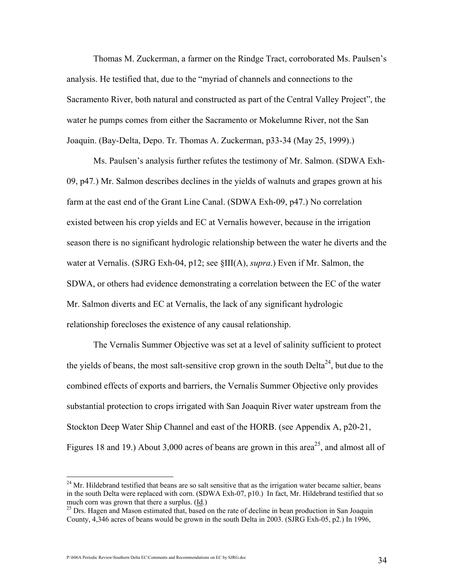Thomas M. Zuckerman, a farmer on the Rindge Tract, corroborated Ms. Paulsen's analysis. He testified that, due to the "myriad of channels and connections to the Sacramento River, both natural and constructed as part of the Central Valley Project", the water he pumps comes from either the Sacramento or Mokelumne River, not the San Joaquin. (Bay-Delta, Depo. Tr. Thomas A. Zuckerman, p33-34 (May 25, 1999).)

Ms. Paulsen's analysis further refutes the testimony of Mr. Salmon. (SDWA Exh-09, p47.) Mr. Salmon describes declines in the yields of walnuts and grapes grown at his farm at the east end of the Grant Line Canal. (SDWA Exh-09, p47.) No correlation existed between his crop yields and EC at Vernalis however, because in the irrigation season there is no significant hydrologic relationship between the water he diverts and the water at Vernalis. (SJRG Exh-04, p12; see  $\frac{\text{S}}{\text{III(A)}$ , supra.) Even if Mr. Salmon, the SDWA, or others had evidence demonstrating a correlation between the EC of the water Mr. Salmon diverts and EC at Vernalis, the lack of any significant hydrologic relationship forecloses the existence of any causal relationship.

The Vernalis Summer Objective was set at a level of salinity sufficient to protect the yields of beans, the most salt-sensitive crop grown in the south Delta<sup>24</sup>, but due to the combined effects of exports and barriers, the Vernalis Summer Objective only provides substantial protection to crops irrigated with San Joaquin River water upstream from the Stockton Deep Water Ship Channel and east of the HORB. (see Appendix A, p20-21, Figures 18 and 19.) About 3,000 acres of beans are grown in this area<sup>25</sup>, and almost all of

 $^{24}$  Mr. Hildebrand testified that beans are so salt sensitive that as the irrigation water became saltier, beans in the south Delta were replaced with corn. (SDWA Exh-07, p10.) In fact, Mr. Hildebrand testified that so much corn was grown that there a surplus.  $(\underline{Id})$ 

<sup>&</sup>lt;sup>25</sup> Drs. Hagen and Mason estimated that, based on the rate of decline in bean production in San Joaquin County, 4,346 acres of beans would be grown in the south Delta in 2003. (SJRG Exh-05, p2.) In 1996,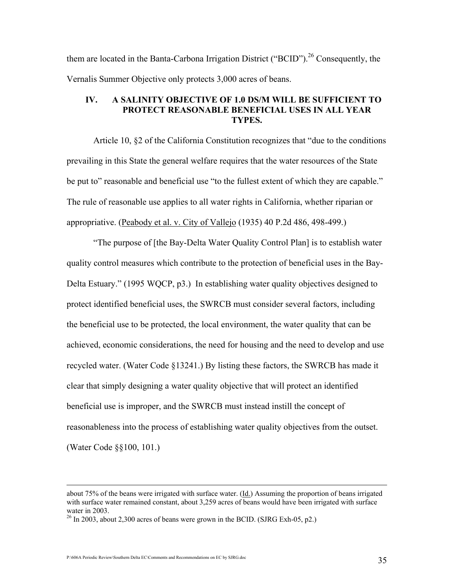them are located in the Banta-Carbona Irrigation District ("BCID").<sup>26</sup> Consequently, the Vernalis Summer Objective only protects 3,000 acres of beans.

# IV. A SALINITY OBJECTIVE OF 1.0 DS/M WILL BE SUFFICIENT TO PROTECT REASONABLE BENEFICIAL USES IN ALL YEAR TYPES.

Article 10, §2 of the California Constitution recognizes that "due to the conditions prevailing in this State the general welfare requires that the water resources of the State be put to" reasonable and beneficial use "to the fullest extent of which they are capable." The rule of reasonable use applies to all water rights in California, whether riparian or appropriative. (Peabody et al. v. City of Vallejo (1935) 40 P.2d 486, 498-499.)

 "The purpose of [the Bay-Delta Water Quality Control Plan] is to establish water quality control measures which contribute to the protection of beneficial uses in the Bay-Delta Estuary." (1995 WQCP, p3.) In establishing water quality objectives designed to protect identified beneficial uses, the SWRCB must consider several factors, including the beneficial use to be protected, the local environment, the water quality that can be achieved, economic considerations, the need for housing and the need to develop and use recycled water. (Water Code §13241.) By listing these factors, the SWRCB has made it clear that simply designing a water quality objective that will protect an identified beneficial use is improper, and the SWRCB must instead instill the concept of reasonableness into the process of establishing water quality objectives from the outset. (Water Code §§100, 101.)

about 75% of the beans were irrigated with surface water.  $(\underline{Id})$  Assuming the proportion of beans irrigated with surface water remained constant, about 3,259 acres of beans would have been irrigated with surface water in 2003.

 $\frac{26 \text{ In } 2003, \text{ about } 2,300 \text{ acres of beans were grown in the BCID. (SIRG Exh-05, p2.)}$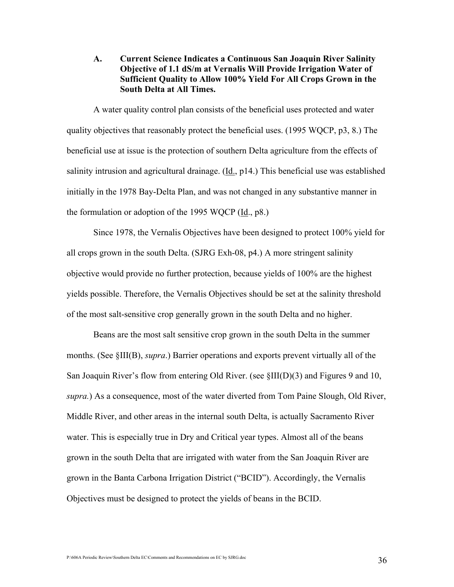A. Current Science Indicates a Continuous San Joaquin River Salinity Objective of 1.1 dS/m at Vernalis Will Provide Irrigation Water of Sufficient Quality to Allow 100% Yield For All Crops Grown in the South Delta at All Times.

A water quality control plan consists of the beneficial uses protected and water quality objectives that reasonably protect the beneficial uses. (1995 WQCP, p3, 8.) The beneficial use at issue is the protection of southern Delta agriculture from the effects of salinity intrusion and agricultural drainage. (Id., p14.) This beneficial use was established initially in the 1978 Bay-Delta Plan, and was not changed in any substantive manner in the formulation or adoption of the 1995 WQCP (Id., p8.)

Since 1978, the Vernalis Objectives have been designed to protect 100% yield for all crops grown in the south Delta. (SJRG Exh-08, p4.) A more stringent salinity objective would provide no further protection, because yields of 100% are the highest yields possible. Therefore, the Vernalis Objectives should be set at the salinity threshold of the most salt-sensitive crop generally grown in the south Delta and no higher.

Beans are the most salt sensitive crop grown in the south Delta in the summer months. (See §III(B), *supra*.) Barrier operations and exports prevent virtually all of the San Joaquin River's flow from entering Old River. (see §III(D)(3) and Figures 9 and 10, supra.) As a consequence, most of the water diverted from Tom Paine Slough, Old River, Middle River, and other areas in the internal south Delta, is actually Sacramento River water. This is especially true in Dry and Critical year types. Almost all of the beans grown in the south Delta that are irrigated with water from the San Joaquin River are grown in the Banta Carbona Irrigation District ("BCID"). Accordingly, the Vernalis Objectives must be designed to protect the yields of beans in the BCID.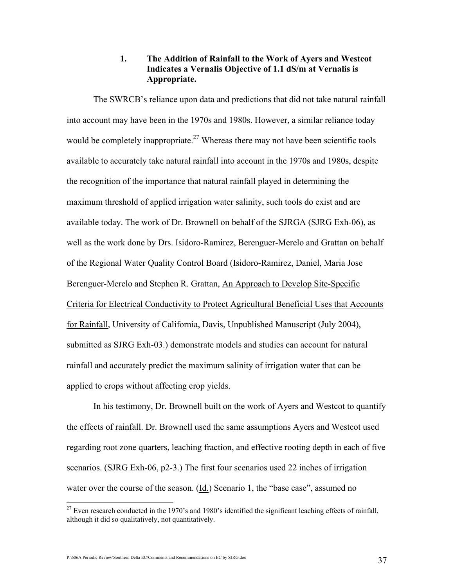# 1. The Addition of Rainfall to the Work of Ayers and Westcot Indicates a Vernalis Objective of 1.1 dS/m at Vernalis is Appropriate.

The SWRCB's reliance upon data and predictions that did not take natural rainfall into account may have been in the 1970s and 1980s. However, a similar reliance today would be completely inappropriate.<sup>27</sup> Whereas there may not have been scientific tools available to accurately take natural rainfall into account in the 1970s and 1980s, despite the recognition of the importance that natural rainfall played in determining the maximum threshold of applied irrigation water salinity, such tools do exist and are available today. The work of Dr. Brownell on behalf of the SJRGA (SJRG Exh-06), as well as the work done by Drs. Isidoro-Ramirez, Berenguer-Merelo and Grattan on behalf of the Regional Water Quality Control Board (Isidoro-Ramirez, Daniel, Maria Jose Berenguer-Merelo and Stephen R. Grattan, An Approach to Develop Site-Specific Criteria for Electrical Conductivity to Protect Agricultural Beneficial Uses that Accounts for Rainfall, University of California, Davis, Unpublished Manuscript (July 2004), submitted as SJRG Exh-03.) demonstrate models and studies can account for natural rainfall and accurately predict the maximum salinity of irrigation water that can be applied to crops without affecting crop yields.

In his testimony, Dr. Brownell built on the work of Ayers and Westcot to quantify the effects of rainfall. Dr. Brownell used the same assumptions Ayers and Westcot used regarding root zone quarters, leaching fraction, and effective rooting depth in each of five scenarios. (SJRG Exh-06, p2-3.) The first four scenarios used 22 inches of irrigation water over the course of the season. (Id.) Scenario 1, the "base case", assumed no

P:\606A Periodic Review\Southern Delta EC\Comments and Recommendations on EC by SJRG.doc 37

 $^{27}$  Even research conducted in the 1970's and 1980's identified the significant leaching effects of rainfall, although it did so qualitatively, not quantitatively.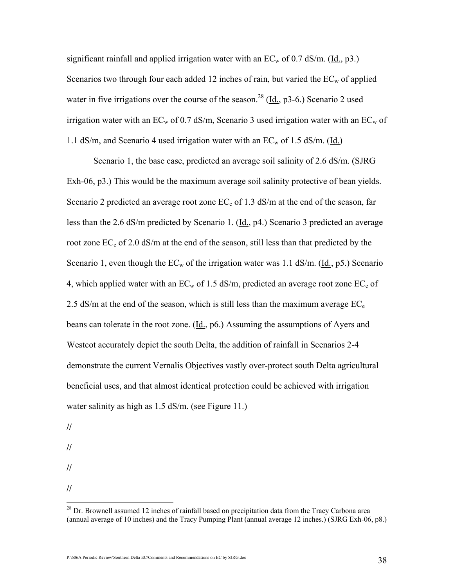significant rainfall and applied irrigation water with an  $EC_w$  of 0.7 dS/m. (Id., p3.) Scenarios two through four each added 12 inches of rain, but varied the  $EC_w$  of applied water in five irrigations over the course of the season.<sup>28</sup> (Id.,  $p3-6$ .) Scenario 2 used irrigation water with an  $EC_w$  of 0.7 dS/m, Scenario 3 used irrigation water with an  $EC_w$  of 1.1 dS/m, and Scenario 4 used irrigation water with an  $EC_w$  of 1.5 dS/m. (Id.)

Scenario 1, the base case, predicted an average soil salinity of 2.6 dS/m. (SJRG Exh-06, p3.) This would be the maximum average soil salinity protective of bean yields. Scenario 2 predicted an average root zone  $EC_e$  of 1.3 dS/m at the end of the season, far less than the 2.6 dS/m predicted by Scenario 1. (Id., p4.) Scenario 3 predicted an average root zone  $EC_e$  of 2.0 dS/m at the end of the season, still less than that predicted by the Scenario 1, even though the  $EC_w$  of the irrigation water was 1.1 dS/m. (Id., p5.) Scenario 4, which applied water with an  $EC_w$  of 1.5 dS/m, predicted an average root zone  $EC_e$  of 2.5 dS/m at the end of the season, which is still less than the maximum average  $EC_e$ beans can tolerate in the root zone. (Id., p6.) Assuming the assumptions of Ayers and Westcot accurately depict the south Delta, the addition of rainfall in Scenarios 2-4 demonstrate the current Vernalis Objectives vastly over-protect south Delta agricultural beneficial uses, and that almost identical protection could be achieved with irrigation water salinity as high as 1.5 dS/m. (see Figure 11.)

//

//

- //
- //  $\overline{a}$

 $2<sup>28</sup>$  Dr. Brownell assumed 12 inches of rainfall based on precipitation data from the Tracy Carbona area (annual average of 10 inches) and the Tracy Pumping Plant (annual average 12 inches.) (SJRG Exh-06, p8.)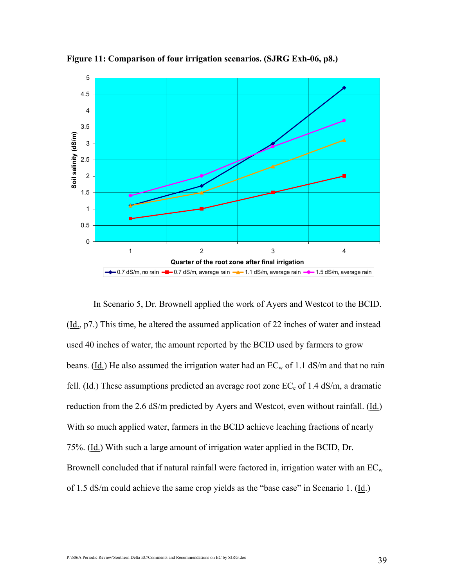

Figure 11: Comparison of four irrigation scenarios. (SJRG Exh-06, p8.)

In Scenario 5, Dr. Brownell applied the work of Ayers and Westcot to the BCID.  $(\underline{Id}, p7)$ . This time, he altered the assumed application of 22 inches of water and instead used 40 inches of water, the amount reported by the BCID used by farmers to grow beans. (Id.) He also assumed the irrigation water had an  $EC_w$  of 1.1 dS/m and that no rain fell. ( $\underline{Id}$ .) These assumptions predicted an average root zone  $EC_e$  of 1.4 dS/m, a dramatic reduction from the 2.6 dS/m predicted by Ayers and Westcot, even without rainfall. (Id.) With so much applied water, farmers in the BCID achieve leaching fractions of nearly 75%. (Id.) With such a large amount of irrigation water applied in the BCID, Dr. Brownell concluded that if natural rainfall were factored in, irrigation water with an  $EC_w$ of 1.5 dS/m could achieve the same crop yields as the "base case" in Scenario 1. (Id.)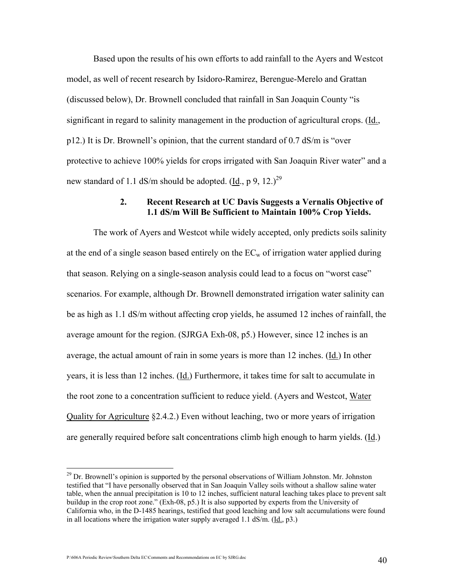Based upon the results of his own efforts to add rainfall to the Ayers and Westcot model, as well of recent research by Isidoro-Ramirez, Berengue-Merelo and Grattan (discussed below), Dr. Brownell concluded that rainfall in San Joaquin County "is significant in regard to salinity management in the production of agricultural crops. (Id., p12.) It is Dr. Brownell's opinion, that the current standard of 0.7 dS/m is "over protective to achieve 100% yields for crops irrigated with San Joaquin River water" and a new standard of 1.1 dS/m should be adopted. (Id., p 9, 12.)<sup>29</sup>

#### 2. Recent Research at UC Davis Suggests a Vernalis Objective of 1.1 dS/m Will Be Sufficient to Maintain 100% Crop Yields.

The work of Ayers and Westcot while widely accepted, only predicts soils salinity at the end of a single season based entirely on the  $EC_w$  of irrigation water applied during that season. Relying on a single-season analysis could lead to a focus on "worst case" scenarios. For example, although Dr. Brownell demonstrated irrigation water salinity can be as high as 1.1 dS/m without affecting crop yields, he assumed 12 inches of rainfall, the average amount for the region. (SJRGA Exh-08, p5.) However, since 12 inches is an average, the actual amount of rain in some years is more than 12 inches. (Id.) In other years, it is less than 12 inches. (Id.) Furthermore, it takes time for salt to accumulate in the root zone to a concentration sufficient to reduce yield. (Ayers and Westcot, Water Quality for Agriculture §2.4.2.) Even without leaching, two or more years of irrigation are generally required before salt concentrations climb high enough to harm yields. (Id.)

 $^{29}$  Dr. Brownell's opinion is supported by the personal observations of William Johnston. Mr. Johnston testified that "I have personally observed that in San Joaquin Valley soils without a shallow saline water table, when the annual precipitation is 10 to 12 inches, sufficient natural leaching takes place to prevent salt buildup in the crop root zone." (Exh-08, p5.) It is also supported by experts from the University of California who, in the D-1485 hearings, testified that good leaching and low salt accumulations were found in all locations where the irrigation water supply averaged 1.1 dS/m. (Id., p3.)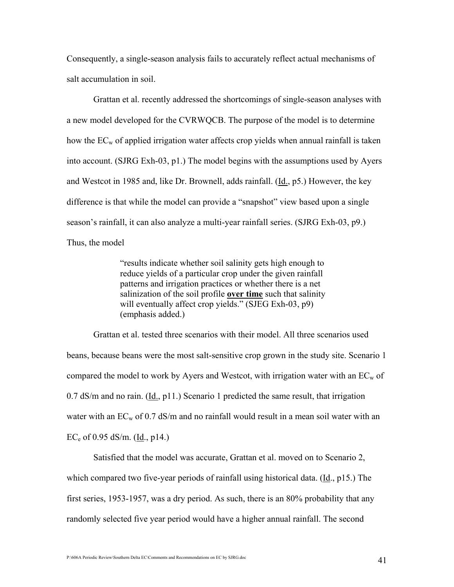Consequently, a single-season analysis fails to accurately reflect actual mechanisms of salt accumulation in soil.

Grattan et al. recently addressed the shortcomings of single-season analyses with a new model developed for the CVRWQCB. The purpose of the model is to determine how the  $EC_w$  of applied irrigation water affects crop yields when annual rainfall is taken into account. (SJRG Exh-03, p1.) The model begins with the assumptions used by Ayers and Westcot in 1985 and, like Dr. Brownell, adds rainfall. (Id., p5.) However, the key difference is that while the model can provide a "snapshot" view based upon a single season's rainfall, it can also analyze a multi-year rainfall series. (SJRG Exh-03, p9.) Thus, the model

> "results indicate whether soil salinity gets high enough to reduce yields of a particular crop under the given rainfall patterns and irrigation practices or whether there is a net salinization of the soil profile over time such that salinity will eventually affect crop yields." (SJEG Exh-03, p9) (emphasis added.)

 Grattan et al. tested three scenarios with their model. All three scenarios used beans, because beans were the most salt-sensitive crop grown in the study site. Scenario 1 compared the model to work by Ayers and Westcot, with irrigation water with an  $EC_w$  of 0.7 dS/m and no rain. (Id., p11.) Scenario 1 predicted the same result, that irrigation water with an  $EC_w$  of 0.7 dS/m and no rainfall would result in a mean soil water with an  $EC_e$  of 0.95 dS/m. (Id., p14.)

 Satisfied that the model was accurate, Grattan et al. moved on to Scenario 2, which compared two five-year periods of rainfall using historical data.  $(\underline{Id}, p15)$ . The first series, 1953-1957, was a dry period. As such, there is an 80% probability that any randomly selected five year period would have a higher annual rainfall. The second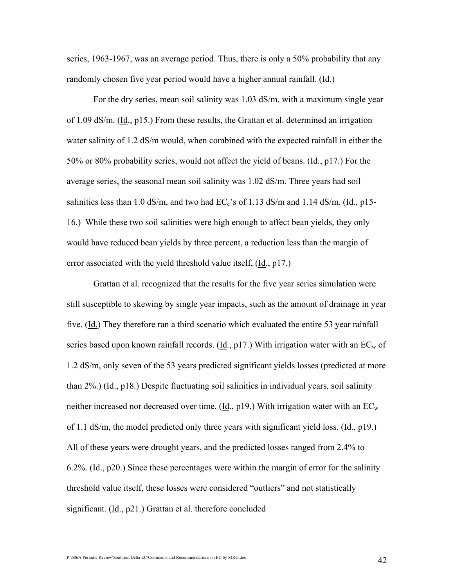series, 1963-1967, was an average period. Thus, there is only a 50% probability that any randomly chosen five year period would have a higher annual rainfall. (Id.)

 For the dry series, mean soil salinity was 1.03 dS/m, with a maximum single year of 1.09 dS/m. (Id., p15.) From these results, the Grattan et al. determined an irrigation water salinity of 1.2 dS/m would, when combined with the expected rainfall in either the 50% or 80% probability series, would not affect the yield of beans. (Id., p17.) For the average series, the seasonal mean soil salinity was 1.02 dS/m. Three years had soil salinities less than 1.0 dS/m, and two had  $EC_e$ 's of 1.13 dS/m and 1.14 dS/m. ( $\underline{Id}$ ., p15-16.) While these two soil salinities were high enough to affect bean yields, they only would have reduced bean yields by three percent, a reduction less than the margin of error associated with the yield threshold value itself, (Id., p17.)

Grattan et al. recognized that the results for the five year series simulation were still susceptible to skewing by single year impacts, such as the amount of drainage in year five. (Id.) They therefore ran a third scenario which evaluated the entire 53 year rainfall series based upon known rainfall records. ( $\underline{Id}$ , p17.) With irrigation water with an EC<sub>w</sub> of 1.2 dS/m, only seven of the 53 years predicted significant yields losses (predicted at more than 2%.) (Id., p18.) Despite fluctuating soil salinities in individual years, soil salinity neither increased nor decreased over time. (Id.,  $p19$ .) With irrigation water with an  $EC_w$ of 1.1 dS/m, the model predicted only three years with significant yield loss.  $(\underline{Id}, p19)$ . All of these years were drought years, and the predicted losses ranged from 2.4% to 6.2%. (Id., p20.) Since these percentages were within the margin of error for the salinity threshold value itself, these losses were considered "outliers" and not statistically significant. (Id., p21.) Grattan et al. therefore concluded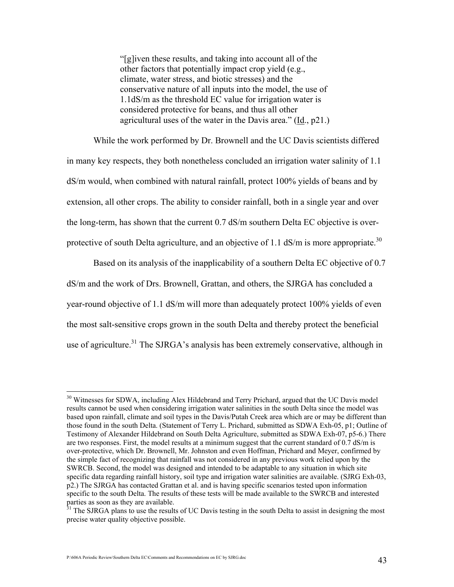"[g]iven these results, and taking into account all of the other factors that potentially impact crop yield (e.g., climate, water stress, and biotic stresses) and the conservative nature of all inputs into the model, the use of 1.1dS/m as the threshold EC value for irrigation water is considered protective for beans, and thus all other agricultural uses of the water in the Davis area." (Id., p21.)

 While the work performed by Dr. Brownell and the UC Davis scientists differed in many key respects, they both nonetheless concluded an irrigation water salinity of 1.1 dS/m would, when combined with natural rainfall, protect 100% yields of beans and by extension, all other crops. The ability to consider rainfall, both in a single year and over the long-term, has shown that the current 0.7 dS/m southern Delta EC objective is overprotective of south Delta agriculture, and an objective of 1.1  $\text{dS/m}$  is more appropriate.<sup>30</sup>

 Based on its analysis of the inapplicability of a southern Delta EC objective of 0.7 dS/m and the work of Drs. Brownell, Grattan, and others, the SJRGA has concluded a year-round objective of 1.1 dS/m will more than adequately protect 100% yields of even the most salt-sensitive crops grown in the south Delta and thereby protect the beneficial use of agriculture.<sup>31</sup> The SJRGA's analysis has been extremely conservative, although in

<sup>&</sup>lt;sup>30</sup> Witnesses for SDWA, including Alex Hildebrand and Terry Prichard, argued that the UC Davis model results cannot be used when considering irrigation water salinities in the south Delta since the model was based upon rainfall, climate and soil types in the Davis/Putah Creek area which are or may be different than those found in the south Delta. (Statement of Terry L. Prichard, submitted as SDWA Exh-05, p1; Outline of Testimony of Alexander Hildebrand on South Delta Agriculture, submitted as SDWA Exh-07, p5-6.) There are two responses. First, the model results at a minimum suggest that the current standard of 0.7 dS/m is over-protective, which Dr. Brownell, Mr. Johnston and even Hoffman, Prichard and Meyer, confirmed by the simple fact of recognizing that rainfall was not considered in any previous work relied upon by the SWRCB. Second, the model was designed and intended to be adaptable to any situation in which site specific data regarding rainfall history, soil type and irrigation water salinities are available. (SJRG Exh-03, p2.) The SJRGA has contacted Grattan et al. and is having specific scenarios tested upon information specific to the south Delta. The results of these tests will be made available to the SWRCB and interested parties as soon as they are available.

The SJRGA plans to use the results of UC Davis testing in the south Delta to assist in designing the most precise water quality objective possible.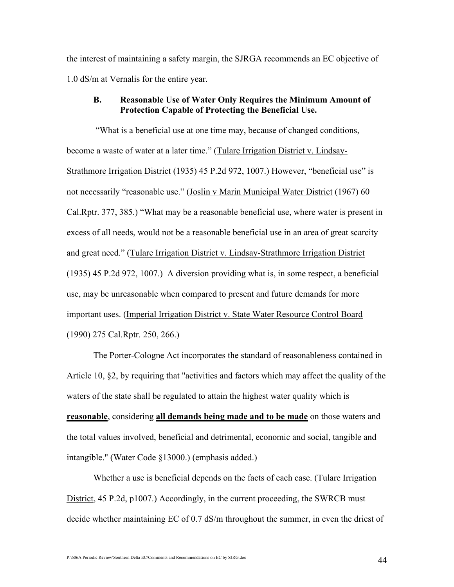the interest of maintaining a safety margin, the SJRGA recommends an EC objective of 1.0 dS/m at Vernalis for the entire year.

# B. Reasonable Use of Water Only Requires the Minimum Amount of Protection Capable of Protecting the Beneficial Use.

 "What is a beneficial use at one time may, because of changed conditions, become a waste of water at a later time." (Tulare Irrigation District v. Lindsay-Strathmore Irrigation District (1935) 45 P.2d 972, 1007.) However, "beneficial use" is not necessarily "reasonable use." (Joslin v Marin Municipal Water District (1967) 60 Cal.Rptr. 377, 385.) "What may be a reasonable beneficial use, where water is present in excess of all needs, would not be a reasonable beneficial use in an area of great scarcity and great need." (Tulare Irrigation District v. Lindsay-Strathmore Irrigation District (1935) 45 P.2d 972, 1007.) A diversion providing what is, in some respect, a beneficial use, may be unreasonable when compared to present and future demands for more important uses. (Imperial Irrigation District v. State Water Resource Control Board (1990) 275 Cal.Rptr. 250, 266.)

The Porter-Cologne Act incorporates the standard of reasonableness contained in Article 10, §2, by requiring that "activities and factors which may affect the quality of the waters of the state shall be regulated to attain the highest water quality which is reasonable, considering all demands being made and to be made on those waters and the total values involved, beneficial and detrimental, economic and social, tangible and intangible." (Water Code §13000.) (emphasis added.)

Whether a use is beneficial depends on the facts of each case. (Tulare Irrigation District, 45 P.2d, p1007.) Accordingly, in the current proceeding, the SWRCB must decide whether maintaining EC of 0.7 dS/m throughout the summer, in even the driest of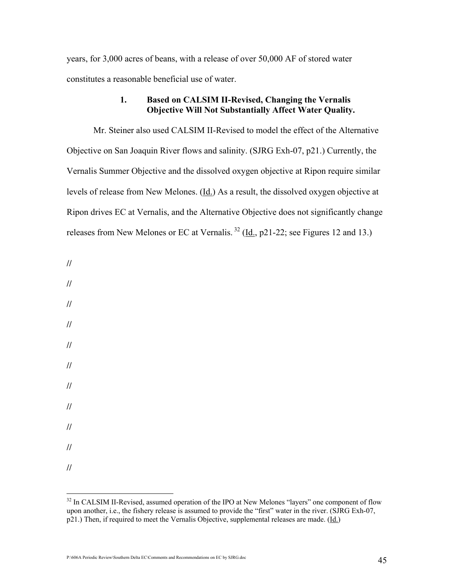years, for 3,000 acres of beans, with a release of over 50,000 AF of stored water constitutes a reasonable beneficial use of water.

# 1. Based on CALSIM II-Revised, Changing the Vernalis Objective Will Not Substantially Affect Water Quality.

Mr. Steiner also used CALSIM II-Revised to model the effect of the Alternative Objective on San Joaquin River flows and salinity. (SJRG Exh-07, p21.) Currently, the Vernalis Summer Objective and the dissolved oxygen objective at Ripon require similar levels of release from New Melones. (Id.) As a result, the dissolved oxygen objective at Ripon drives EC at Vernalis, and the Alternative Objective does not significantly change releases from New Melones or EC at Vernalis.<sup>32</sup> ( $\underline{Id}$ , p21-22; see Figures 12 and 13.)

- //
- //
- //
- //
- //
- 
- //
- //
- //
- 
- //

//

//

 $\overline{a}$ <sup>32</sup> In CALSIM II-Revised, assumed operation of the IPO at New Melones "layers" one component of flow upon another, i.e., the fishery release is assumed to provide the "first" water in the river. (SJRG Exh-07, p21.) Then, if required to meet the Vernalis Objective, supplemental releases are made. (Id.)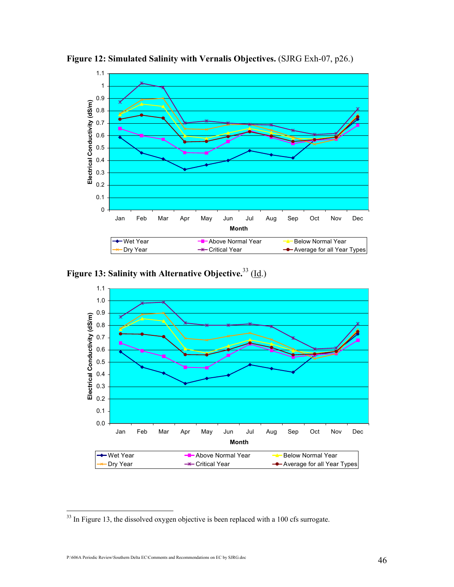

Figure 12: Simulated Salinity with Vernalis Objectives. (SJRG Exh-07, p26.)

Figure 13: Salinity with Alternative Objective.<sup>33</sup> (Id.)



 $\overline{a}$  $33$  In Figure 13, the dissolved oxygen objective is been replaced with a 100 cfs surrogate.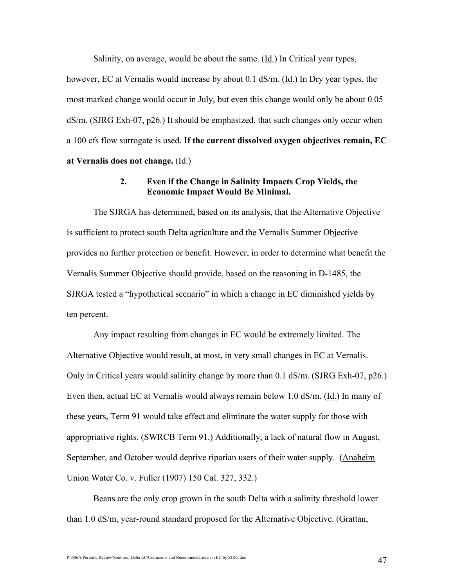Salinity, on average, would be about the same. (Id.) In Critical year types,

however, EC at Vernalis would increase by about 0.1 dS/m. (Id.) In Dry year types, the most marked change would occur in July, but even this change would only be about 0.05 dS/m. (SJRG Exh-07, p26.) It should be emphasized, that such changes only occur when a 100 cfs flow surrogate is used. If the current dissolved oxygen objectives remain, EC at Vernalis does not change.  $(\underline{Id.})$ 

#### 2. Even if the Change in Salinity Impacts Crop Yields, the Economic Impact Would Be Minimal.

The SJRGA has determined, based on its analysis, that the Alternative Objective is sufficient to protect south Delta agriculture and the Vernalis Summer Objective provides no further protection or benefit. However, in order to determine what benefit the Vernalis Summer Objective should provide, based on the reasoning in D-1485, the SJRGA tested a "hypothetical scenario" in which a change in EC diminished yields by ten percent.

Any impact resulting from changes in EC would be extremely limited. The Alternative Objective would result, at most, in very small changes in EC at Vernalis. Only in Critical years would salinity change by more than 0.1 dS/m. (SJRG Exh-07, p26.) Even then, actual EC at Vernalis would always remain below 1.0 dS/m. (Id.) In many of these years, Term 91 would take effect and eliminate the water supply for those with appropriative rights. (SWRCB Term 91.) Additionally, a lack of natural flow in August, September, and October would deprive riparian users of their water supply. (Anaheim Union Water Co. v. Fuller (1907) 150 Cal. 327, 332.)

Beans are the only crop grown in the south Delta with a salinity threshold lower than 1.0 dS/m, year-round standard proposed for the Alternative Objective. (Grattan,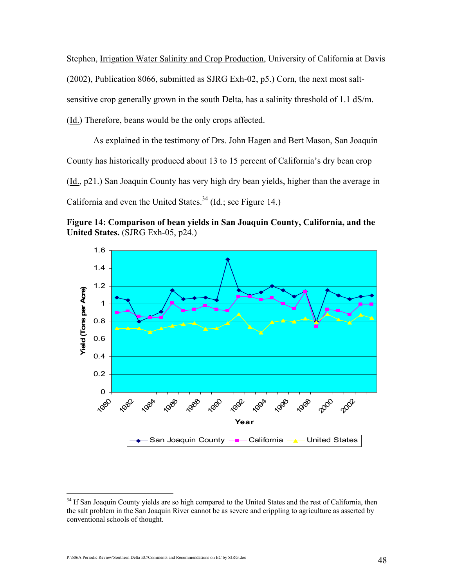Stephen, Irrigation Water Salinity and Crop Production, University of California at Davis (2002), Publication 8066, submitted as SJRG Exh-02, p5.) Corn, the next most saltsensitive crop generally grown in the south Delta, has a salinity threshold of 1.1 dS/m. (Id.) Therefore, beans would be the only crops affected.

As explained in the testimony of Drs. John Hagen and Bert Mason, San Joaquin County has historically produced about 13 to 15 percent of California's dry bean crop (Id., p21.) San Joaquin County has very high dry bean yields, higher than the average in California and even the United States.<sup>34</sup> (Id.; see Figure 14.)

Figure 14: Comparison of bean yields in San Joaquin County, California, and the United States. (SJRG Exh-05, p24.)



<sup>&</sup>lt;sup>34</sup> If San Joaquin County yields are so high compared to the United States and the rest of California, then the salt problem in the San Joaquin River cannot be as severe and crippling to agriculture as asserted by conventional schools of thought.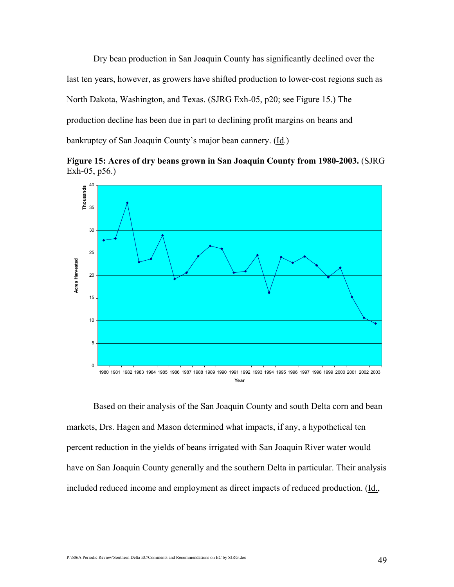Dry bean production in San Joaquin County has significantly declined over the last ten years, however, as growers have shifted production to lower-cost regions such as North Dakota, Washington, and Texas. (SJRG Exh-05, p20; see Figure 15.) The production decline has been due in part to declining profit margins on beans and bankruptcy of San Joaquin County's major bean cannery. (Id.)

Figure 15: Acres of dry beans grown in San Joaquin County from 1980-2003. (SJRG Exh-05, p56.)



Based on their analysis of the San Joaquin County and south Delta corn and bean markets, Drs. Hagen and Mason determined what impacts, if any, a hypothetical ten percent reduction in the yields of beans irrigated with San Joaquin River water would have on San Joaquin County generally and the southern Delta in particular. Their analysis included reduced income and employment as direct impacts of reduced production. (Id.,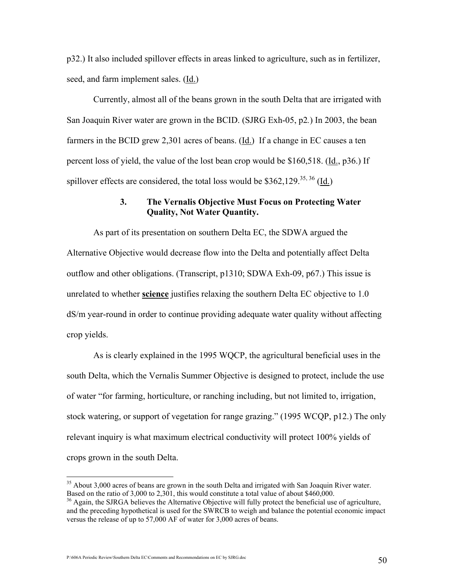p32.) It also included spillover effects in areas linked to agriculture, such as in fertilizer, seed, and farm implement sales. (Id.)

Currently, almost all of the beans grown in the south Delta that are irrigated with San Joaquin River water are grown in the BCID. (SJRG Exh-05, p2.) In 2003, the bean farmers in the BCID grew 2,301 acres of beans. (Id.) If a change in EC causes a ten percent loss of yield, the value of the lost bean crop would be \$160,518. (Id., p36.) If spillover effects are considered, the total loss would be  $$362,129$ <sup>35,36</sup> (Id.)

### 3. The Vernalis Objective Must Focus on Protecting Water Quality, Not Water Quantity.

 As part of its presentation on southern Delta EC, the SDWA argued the Alternative Objective would decrease flow into the Delta and potentially affect Delta outflow and other obligations. (Transcript, p1310; SDWA Exh-09, p67.) This issue is unrelated to whether science justifies relaxing the southern Delta EC objective to 1.0 dS/m year-round in order to continue providing adequate water quality without affecting crop yields.

As is clearly explained in the 1995 WQCP, the agricultural beneficial uses in the south Delta, which the Vernalis Summer Objective is designed to protect, include the use of water "for farming, horticulture, or ranching including, but not limited to, irrigation, stock watering, or support of vegetation for range grazing." (1995 WCQP, p12.) The only relevant inquiry is what maximum electrical conductivity will protect 100% yields of crops grown in the south Delta.

P:\606A Periodic Review\Southern Delta EC\Comments and Recommendations on EC by SJRG.doc 50

<sup>&</sup>lt;sup>35</sup> About 3,000 acres of beans are grown in the south Delta and irrigated with San Joaquin River water. Based on the ratio of 3,000 to 2,301, this would constitute a total value of about \$460,000.

<sup>&</sup>lt;sup>36</sup> Again, the SJRGA believes the Alternative Objective will fully protect the beneficial use of agriculture, and the preceding hypothetical is used for the SWRCB to weigh and balance the potential economic impact versus the release of up to 57,000 AF of water for 3,000 acres of beans.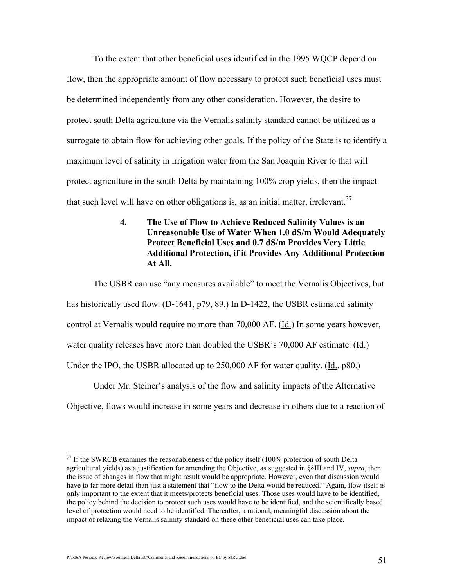To the extent that other beneficial uses identified in the 1995 WQCP depend on flow, then the appropriate amount of flow necessary to protect such beneficial uses must be determined independently from any other consideration. However, the desire to protect south Delta agriculture via the Vernalis salinity standard cannot be utilized as a surrogate to obtain flow for achieving other goals. If the policy of the State is to identify a maximum level of salinity in irrigation water from the San Joaquin River to that will protect agriculture in the south Delta by maintaining 100% crop yields, then the impact that such level will have on other obligations is, as an initial matter, irrelevant.<sup>37</sup>

> 4. The Use of Flow to Achieve Reduced Salinity Values is an Unreasonable Use of Water When 1.0 dS/m Would Adequately Protect Beneficial Uses and 0.7 dS/m Provides Very Little Additional Protection, if it Provides Any Additional Protection At All.

The USBR can use "any measures available" to meet the Vernalis Objectives, but has historically used flow. (D-1641, p79, 89.) In D-1422, the USBR estimated salinity control at Vernalis would require no more than 70,000 AF. (Id.) In some years however, water quality releases have more than doubled the USBR's 70,000 AF estimate. (Id.) Under the IPO, the USBR allocated up to 250,000 AF for water quality. (Id., p80.)

Under Mr. Steiner's analysis of the flow and salinity impacts of the Alternative Objective, flows would increase in some years and decrease in others due to a reaction of

 $\overline{a}$  $37$  If the SWRCB examines the reasonableness of the policy itself (100% protection of south Delta agricultural yields) as a justification for amending the Objective, as suggested in §§III and IV, *supra*, then the issue of changes in flow that might result would be appropriate. However, even that discussion would have to far more detail than just a statement that "flow to the Delta would be reduced." Again, flow itself is only important to the extent that it meets/protects beneficial uses. Those uses would have to be identified, the policy behind the decision to protect such uses would have to be identified, and the scientifically based level of protection would need to be identified. Thereafter, a rational, meaningful discussion about the impact of relaxing the Vernalis salinity standard on these other beneficial uses can take place.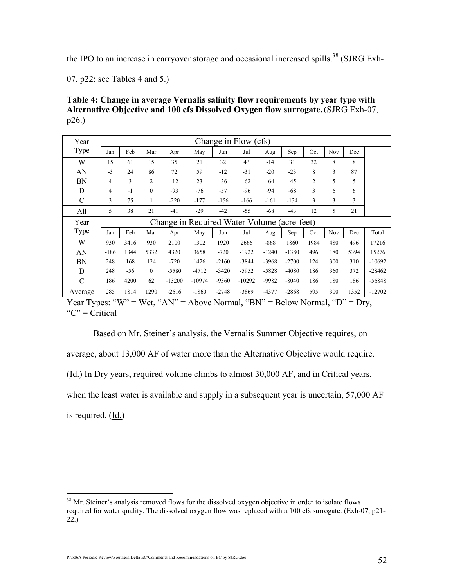the IPO to an increase in carryover storage and occasional increased spills.<sup>38</sup> (SJRG Exh-

07, p22; see Tables 4 and 5.)

Table 4: Change in average Vernalis salinity flow requirements by year type with Alternative Objective and 100 cfs Dissolved Oxygen flow surrogate.(SJRG Exh-07, p26.)

| Year          |        |       |                |          |                                             |         | Change in Flow (cfs) |         |         |                |     |      |          |
|---------------|--------|-------|----------------|----------|---------------------------------------------|---------|----------------------|---------|---------|----------------|-----|------|----------|
| Type          | Jan    | Feb   | Mar            | Apr      | May                                         | Jun     | Jul                  | Aug     | Sep     | Oct            | Nov | Dec  |          |
| W             | 15     | 61    | 15             | 35       | 21                                          | 32      | 43                   | $-14$   | 31      | 32             | 8   | 8    |          |
| AN            | $-3$   | 24    | 86             | 72       | 59                                          | $-12$   | $-31$                | $-20$   | $-23$   | 8              | 3   | 87   |          |
| <b>BN</b>     | 4      | 3     | $\overline{c}$ | $-12$    | 23                                          | $-36$   | $-62$                | $-64$   | $-45$   | $\overline{2}$ | 5   | 5    |          |
| D             | 4      | $-1$  | $\mathbf{0}$   | $-93$    | $-76$                                       | $-57$   | $-96$                | $-94$   | $-68$   | 3              | 6   | 6    |          |
| $\mathcal{C}$ | 3      | 75    | 1              | $-220$   | $-177$                                      | $-156$  | $-166$               | $-161$  | $-134$  | 3              | 3   | 3    |          |
| All           | 5      | 38    | 21             | $-41$    | $-29$                                       | $-42$   | $-55$                | $-68$   | $-43$   | 12             | 5   | 21   |          |
| Year          |        |       |                |          | Change in Required Water Volume (acre-feet) |         |                      |         |         |                |     |      |          |
| <b>Type</b>   | Jan    | Feb   | Mar            | Apr      | May                                         | Jun     | Jul                  | Aug     | Sep     | Oct            | Nov | Dec  | Total    |
| W             | 930    | 3416  | 930            | 2100     | 1302                                        | 1920    | 2666                 | $-868$  | 1860    | 1984           | 480 | 496  | 17216    |
| AN            | $-186$ | 1344  | 5332           | 4320     | 3658                                        | $-720$  | $-1922$              | $-1240$ | $-1380$ | 496            | 180 | 5394 | 15276    |
| BN            | 248    | 168   | 124            | $-720$   | 1426                                        | $-2160$ | $-3844$              | $-3968$ | $-2700$ | 124            | 300 | 310  | $-10692$ |
| D             | 248    | $-56$ | $\overline{0}$ | $-5580$  | $-4712$                                     | $-3420$ | $-5952$              | $-5828$ | $-4080$ | 186            | 360 | 372  | $-28462$ |
| $\mathcal{C}$ | 186    | 4200  | 62             | $-13200$ | $-10974$                                    | $-9360$ | $-10292$             | $-9982$ | $-8040$ | 186            | 180 | 186  | $-56848$ |
| Average       | 285    | 1814  | 1290           | $-2616$  | $-1860$                                     | $-2748$ | $-3869$              | $-4377$ | $-2868$ | 595            | 300 | 1352 | $-12702$ |

Year Types: "W" = Wet, "AN" = Above Normal, "BN" = Below Normal, "D" = Dry, " $C$ " = Critical"

 Based on Mr. Steiner's analysis, the Vernalis Summer Objective requires, on average, about 13,000 AF of water more than the Alternative Objective would require. (Id.) In Dry years, required volume climbs to almost 30,000 AF, and in Critical years, when the least water is available and supply in a subsequent year is uncertain, 57,000 AF is required. (Id.)

<sup>&</sup>lt;sup>38</sup> Mr. Steiner's analysis removed flows for the dissolved oxygen objective in order to isolate flows required for water quality. The dissolved oxygen flow was replaced with a 100 cfs surrogate. (Exh-07, p21- 22.)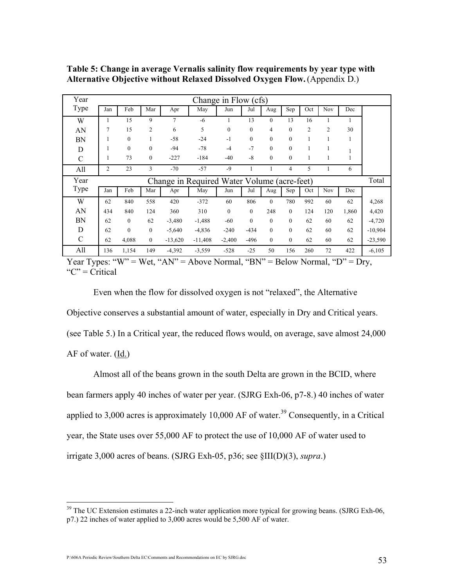| Year          |                                             |              |                  |                | Change in Flow (cfs) |              |              |              |              |                |                |       |           |
|---------------|---------------------------------------------|--------------|------------------|----------------|----------------------|--------------|--------------|--------------|--------------|----------------|----------------|-------|-----------|
| Type          | Jan                                         | Feb          | Mar              | Apr            | May                  | Jun          | Jul          | Aug          | Sep          | Oct            | <b>Nov</b>     | Dec   |           |
| W             | 1                                           | 15           | 9                | $\overline{7}$ | $-6$                 |              | 13           | $\theta$     | 13           | 16             | 1              | 1     |           |
| AN            | 7                                           | 15           | 2                | 6              | 5                    | $\mathbf{0}$ | $\theta$     | 4            | $\mathbf{0}$ | $\overline{c}$ | $\overline{2}$ | 30    |           |
| <b>BN</b>     |                                             | $\mathbf{0}$ | 1                | $-58$          | $-24$                | $-1$         | $\mathbf{0}$ | $\theta$     | $\mathbf{0}$ | 1              | 1              | 1     |           |
| D             |                                             | $\mathbf{0}$ | $\overline{0}$   | $-94$          | $-78$                | $-4$         | $-7$         | $\mathbf{0}$ | $\mathbf{0}$ | 1              | 1              |       |           |
| $\mathcal{C}$ | 1                                           | 73           | $\boldsymbol{0}$ | $-227$         | $-184$               | $-40$        | $-8$         | $\mathbf{0}$ | $\mathbf{0}$ | 1              | 1              | 1     |           |
| All           | 2                                           | 23           | 3                | $-70$          | $-57$                | $-9$         |              |              | 4            | 5              |                | 6     |           |
|               | Change in Required Water Volume (acre-feet) |              |                  |                |                      |              |              |              |              |                |                |       |           |
| Year          |                                             |              |                  |                |                      |              |              |              |              |                |                |       | Total     |
| Type          | Jan                                         | Feb          | Mar              | Apr            | May                  | Jun          | Jul          | Aug          | Sep          | Oct            | <b>Nov</b>     | Dec   |           |
| W             | 62                                          | 840          | 558              | 420            | $-372$               | 60           | 806          | $\theta$     | 780          | 992            | 60             | 62    | 4,268     |
| AN            | 434                                         | 840          | 124              | 360            | 310                  | $\theta$     | $\theta$     | 248          | $\theta$     | 124            | 120            | 1,860 | 4,420     |
| BN            | 62                                          | $\mathbf{0}$ | 62               | $-3,480$       | $-1,488$             | $-60$        | $\theta$     | $\theta$     | $\theta$     | 62             | 60             | 62    | $-4,720$  |
| D             | 62                                          | $\mathbf{0}$ | $\boldsymbol{0}$ | $-5,640$       | $-4,836$             | $-240$       | $-434$       | $\theta$     | $\mathbf{0}$ | 62             | 60             | 62    | $-10,904$ |
| $\mathcal{C}$ | 62                                          | 4,088        | $\boldsymbol{0}$ | $-13,620$      | $-11,408$            | $-2,400$     | $-496$       | $\mathbf{0}$ | $\mathbf{0}$ | 62             | 60             | 62    | $-23,590$ |

Table 5: Change in average Vernalis salinity flow requirements by year type with Alternative Objective without Relaxed Dissolved Oxygen Flow.(Appendix D.)

Year Types: "W" = Wet, "AN" = Above Normal, "BN" = Below Normal, "D" = Dry, " $C$ " = Critical"

 Even when the flow for dissolved oxygen is not "relaxed", the Alternative Objective conserves a substantial amount of water, especially in Dry and Critical years. (see Table 5.) In a Critical year, the reduced flows would, on average, save almost 24,000 AF of water.  $(\underline{Id.})$ 

Almost all of the beans grown in the south Delta are grown in the BCID, where bean farmers apply 40 inches of water per year. (SJRG Exh-06, p7-8.) 40 inches of water applied to 3,000 acres is approximately 10,000 AF of water.<sup>39</sup> Consequently, in a Critical year, the State uses over 55,000 AF to protect the use of 10,000 AF of water used to irrigate 3,000 acres of beans. (SJRG Exh-05, p36; see  $\SIII(D)(3)$ , supra.)

 $39$  The UC Extension estimates a 22-inch water application more typical for growing beans. (SJRG Exh-06, p7.) 22 inches of water applied to 3,000 acres would be 5,500 AF of water.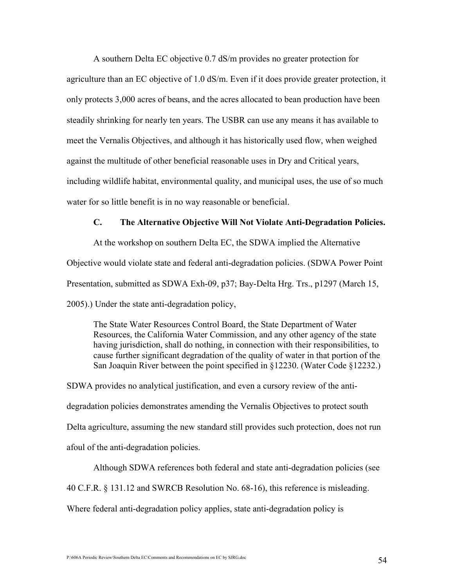A southern Delta EC objective 0.7 dS/m provides no greater protection for agriculture than an EC objective of 1.0 dS/m. Even if it does provide greater protection, it only protects 3,000 acres of beans, and the acres allocated to bean production have been steadily shrinking for nearly ten years. The USBR can use any means it has available to meet the Vernalis Objectives, and although it has historically used flow, when weighed against the multitude of other beneficial reasonable uses in Dry and Critical years, including wildlife habitat, environmental quality, and municipal uses, the use of so much water for so little benefit is in no way reasonable or beneficial.

### C. The Alternative Objective Will Not Violate Anti-Degradation Policies.

At the workshop on southern Delta EC, the SDWA implied the Alternative Objective would violate state and federal anti-degradation policies. (SDWA Power Point Presentation, submitted as SDWA Exh-09, p37; Bay-Delta Hrg. Trs., p1297 (March 15, 2005).) Under the state anti-degradation policy,

The State Water Resources Control Board, the State Department of Water Resources, the California Water Commission, and any other agency of the state having jurisdiction, shall do nothing, in connection with their responsibilities, to cause further significant degradation of the quality of water in that portion of the San Joaquin River between the point specified in §12230. (Water Code §12232.)

SDWA provides no analytical justification, and even a cursory review of the antidegradation policies demonstrates amending the Vernalis Objectives to protect south Delta agriculture, assuming the new standard still provides such protection, does not run afoul of the anti-degradation policies.

 Although SDWA references both federal and state anti-degradation policies (see 40 C.F.R. § 131.12 and SWRCB Resolution No. 68-16), this reference is misleading. Where federal anti-degradation policy applies, state anti-degradation policy is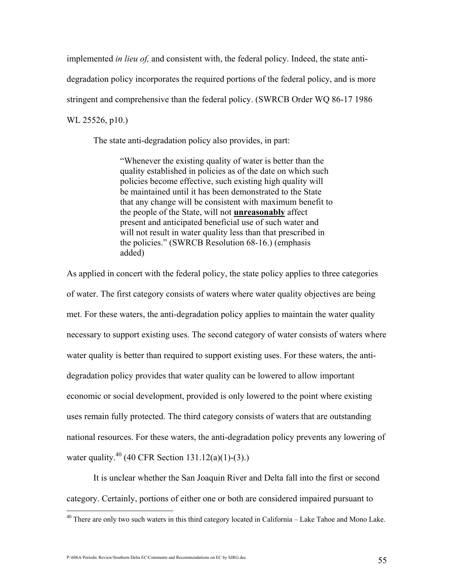implemented *in lieu of*, and consistent with, the federal policy. Indeed, the state antidegradation policy incorporates the required portions of the federal policy, and is more stringent and comprehensive than the federal policy. (SWRCB Order WQ 86-17 1986 WL 25526, p10.)

The state anti-degradation policy also provides, in part:

"Whenever the existing quality of water is better than the quality established in policies as of the date on which such policies become effective, such existing high quality will be maintained until it has been demonstrated to the State that any change will be consistent with maximum benefit to the people of the State, will not unreasonably affect present and anticipated beneficial use of such water and will not result in water quality less than that prescribed in the policies." (SWRCB Resolution 68-16.) (emphasis added)

As applied in concert with the federal policy, the state policy applies to three categories of water. The first category consists of waters where water quality objectives are being met. For these waters, the anti-degradation policy applies to maintain the water quality necessary to support existing uses. The second category of water consists of waters where water quality is better than required to support existing uses. For these waters, the antidegradation policy provides that water quality can be lowered to allow important economic or social development, provided is only lowered to the point where existing uses remain fully protected. The third category consists of waters that are outstanding national resources. For these waters, the anti-degradation policy prevents any lowering of water quality.<sup>40</sup> (40 CFR Section 131.12(a)(1)-(3).)

 It is unclear whether the San Joaquin River and Delta fall into the first or second category. Certainly, portions of either one or both are considered impaired pursuant to

P:\606A Periodic Review\Southern Delta EC\Comments and Recommendations on EC by SJRG.doc 55

<sup>&</sup>lt;sup>40</sup> There are only two such waters in this third category located in California – Lake Tahoe and Mono Lake.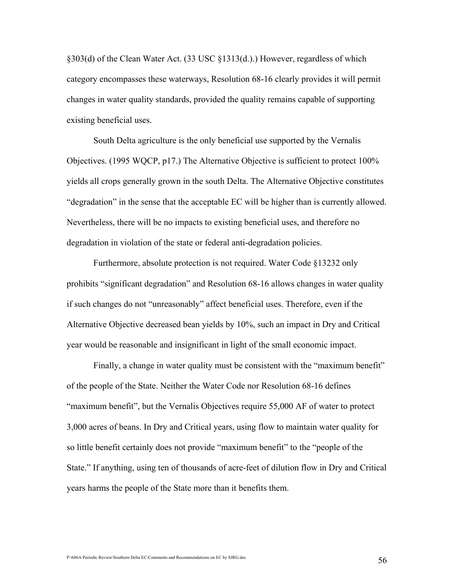§303(d) of the Clean Water Act. (33 USC §1313(d.).) However, regardless of which category encompasses these waterways, Resolution 68-16 clearly provides it will permit changes in water quality standards, provided the quality remains capable of supporting existing beneficial uses.

South Delta agriculture is the only beneficial use supported by the Vernalis Objectives. (1995 WQCP, p17.) The Alternative Objective is sufficient to protect 100% yields all crops generally grown in the south Delta. The Alternative Objective constitutes "degradation" in the sense that the acceptable EC will be higher than is currently allowed. Nevertheless, there will be no impacts to existing beneficial uses, and therefore no degradation in violation of the state or federal anti-degradation policies.

Furthermore, absolute protection is not required. Water Code §13232 only prohibits "significant degradation" and Resolution 68-16 allows changes in water quality if such changes do not "unreasonably" affect beneficial uses. Therefore, even if the Alternative Objective decreased bean yields by 10%, such an impact in Dry and Critical year would be reasonable and insignificant in light of the small economic impact.

Finally, a change in water quality must be consistent with the "maximum benefit" of the people of the State. Neither the Water Code nor Resolution 68-16 defines "maximum benefit", but the Vernalis Objectives require 55,000 AF of water to protect 3,000 acres of beans. In Dry and Critical years, using flow to maintain water quality for so little benefit certainly does not provide "maximum benefit" to the "people of the State." If anything, using ten of thousands of acre-feet of dilution flow in Dry and Critical years harms the people of the State more than it benefits them.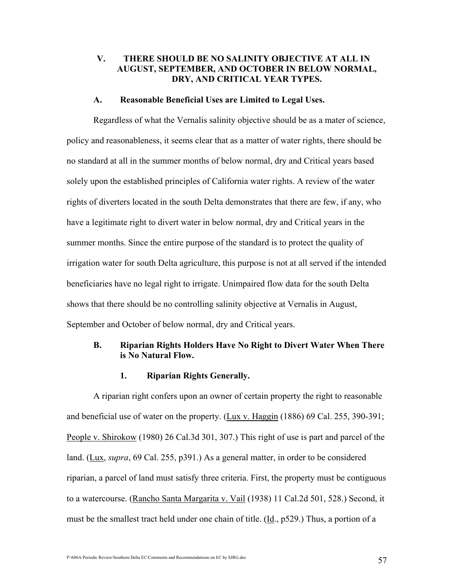# V. THERE SHOULD BE NO SALINITY OBJECTIVE AT ALL IN AUGUST, SEPTEMBER, AND OCTOBER IN BELOW NORMAL, DRY, AND CRITICAL YEAR TYPES.

#### A. Reasonable Beneficial Uses are Limited to Legal Uses.

Regardless of what the Vernalis salinity objective should be as a mater of science, policy and reasonableness, it seems clear that as a matter of water rights, there should be no standard at all in the summer months of below normal, dry and Critical years based solely upon the established principles of California water rights. A review of the water rights of diverters located in the south Delta demonstrates that there are few, if any, who have a legitimate right to divert water in below normal, dry and Critical years in the summer months. Since the entire purpose of the standard is to protect the quality of irrigation water for south Delta agriculture, this purpose is not at all served if the intended beneficiaries have no legal right to irrigate. Unimpaired flow data for the south Delta shows that there should be no controlling salinity objective at Vernalis in August, September and October of below normal, dry and Critical years.

#### B. Riparian Rights Holders Have No Right to Divert Water When There is No Natural Flow.

#### 1. Riparian Rights Generally.

A riparian right confers upon an owner of certain property the right to reasonable and beneficial use of water on the property. (Lux v. Haggin (1886) 69 Cal. 255, 390-391; People v. Shirokow (1980) 26 Cal.3d 301, 307.) This right of use is part and parcel of the land. (Lux, supra, 69 Cal. 255, p391.) As a general matter, in order to be considered riparian, a parcel of land must satisfy three criteria. First, the property must be contiguous to a watercourse. (Rancho Santa Margarita v. Vail (1938) 11 Cal.2d 501, 528.) Second, it must be the smallest tract held under one chain of title. (Id., p529.) Thus, a portion of a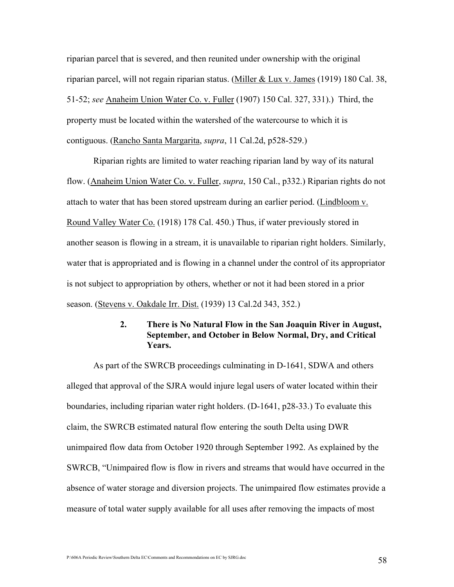riparian parcel that is severed, and then reunited under ownership with the original riparian parcel, will not regain riparian status. (Miller & Lux v. James (1919) 180 Cal. 38, 51-52; see Anaheim Union Water Co. v. Fuller (1907) 150 Cal. 327, 331).) Third, the property must be located within the watershed of the watercourse to which it is contiguous. (Rancho Santa Margarita, supra, 11 Cal.2d, p528-529.)

Riparian rights are limited to water reaching riparian land by way of its natural flow. (Anaheim Union Water Co. v. Fuller, *supra*, 150 Cal., p332.) Riparian rights do not attach to water that has been stored upstream during an earlier period. (Lindbloom v. Round Valley Water Co. (1918) 178 Cal. 450.) Thus, if water previously stored in another season is flowing in a stream, it is unavailable to riparian right holders. Similarly, water that is appropriated and is flowing in a channel under the control of its appropriator is not subject to appropriation by others, whether or not it had been stored in a prior season. (Stevens v. Oakdale Irr. Dist. (1939) 13 Cal.2d 343, 352.)

# 2. There is No Natural Flow in the San Joaquin River in August, September, and October in Below Normal, Dry, and Critical Years.

 As part of the SWRCB proceedings culminating in D-1641, SDWA and others alleged that approval of the SJRA would injure legal users of water located within their boundaries, including riparian water right holders. (D-1641, p28-33.) To evaluate this claim, the SWRCB estimated natural flow entering the south Delta using DWR unimpaired flow data from October 1920 through September 1992. As explained by the SWRCB, "Unimpaired flow is flow in rivers and streams that would have occurred in the absence of water storage and diversion projects. The unimpaired flow estimates provide a measure of total water supply available for all uses after removing the impacts of most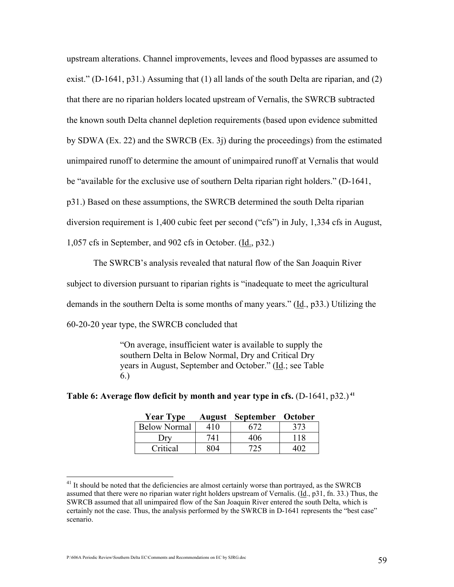upstream alterations. Channel improvements, levees and flood bypasses are assumed to exist." (D-1641,  $p31$ .) Assuming that (1) all lands of the south Delta are riparian, and (2) that there are no riparian holders located upstream of Vernalis, the SWRCB subtracted the known south Delta channel depletion requirements (based upon evidence submitted by SDWA (Ex. 22) and the SWRCB (Ex. 3j) during the proceedings) from the estimated unimpaired runoff to determine the amount of unimpaired runoff at Vernalis that would be "available for the exclusive use of southern Delta riparian right holders." (D-1641, p31.) Based on these assumptions, the SWRCB determined the south Delta riparian diversion requirement is 1,400 cubic feet per second ("cfs") in July, 1,334 cfs in August, 1,057 cfs in September, and 902 cfs in October. (Id., p32.)

The SWRCB's analysis revealed that natural flow of the San Joaquin River subject to diversion pursuant to riparian rights is "inadequate to meet the agricultural demands in the southern Delta is some months of many years." (Id., p33.) Utilizing the 60-20-20 year type, the SWRCB concluded that

> "On average, insufficient water is available to supply the southern Delta in Below Normal, Dry and Critical Dry years in August, September and October." (Id.; see Table 6.)

| <b>Year Type</b>    |     | <b>August September October</b> |     |
|---------------------|-----|---------------------------------|-----|
| <b>Below Normal</b> | 410 | 672                             | 373 |
|                     | 741 | 406                             | 118 |
| Critical            | 804 | 725                             |     |

Table 6: Average flow deficit by month and year type in cfs.  $(D-1641, p32)^{41}$ 

<sup>&</sup>lt;sup>41</sup> It should be noted that the deficiencies are almost certainly worse than portrayed, as the SWRCB assumed that there were no riparian water right holders upstream of Vernalis. (Id., p31, fn. 33.) Thus, the SWRCB assumed that all unimpaired flow of the San Joaquin River entered the south Delta, which is certainly not the case. Thus, the analysis performed by the SWRCB in D-1641 represents the "best case" scenario.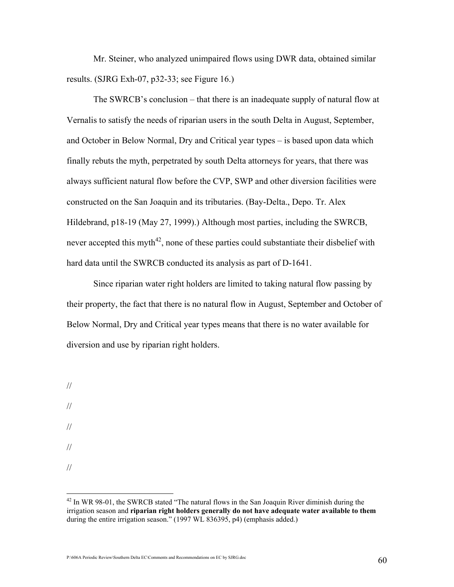Mr. Steiner, who analyzed unimpaired flows using DWR data, obtained similar results. (SJRG Exh-07, p32-33; see Figure 16.)

The SWRCB's conclusion – that there is an inadequate supply of natural flow at Vernalis to satisfy the needs of riparian users in the south Delta in August, September, and October in Below Normal, Dry and Critical year types – is based upon data which finally rebuts the myth, perpetrated by south Delta attorneys for years, that there was always sufficient natural flow before the CVP, SWP and other diversion facilities were constructed on the San Joaquin and its tributaries. (Bay-Delta., Depo. Tr. Alex Hildebrand, p18-19 (May 27, 1999).) Although most parties, including the SWRCB, never accepted this myth<sup>42</sup>, none of these parties could substantiate their disbelief with hard data until the SWRCB conducted its analysis as part of D-1641.

 Since riparian water right holders are limited to taking natural flow passing by their property, the fact that there is no natural flow in August, September and October of Below Normal, Dry and Critical year types means that there is no water available for diversion and use by riparian right holders.

- // // // //
- //

 $42$  In WR 98-01, the SWRCB stated "The natural flows in the San Joaquin River diminish during the irrigation season and riparian right holders generally do not have adequate water available to them during the entire irrigation season." (1997 WL 836395, p4) (emphasis added.)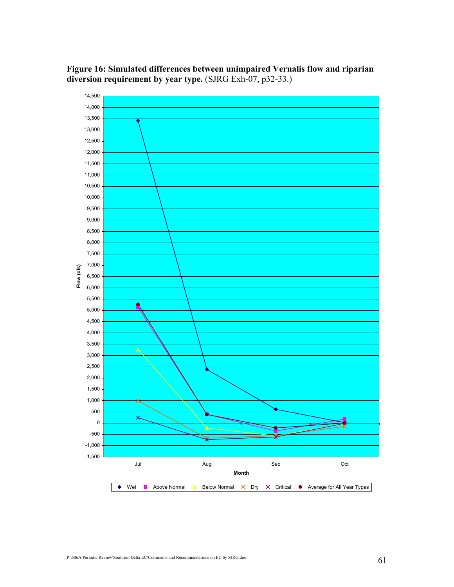# Figure 16: Simulated differences between unimpaired Vernalis flow and riparian diversion requirement by year type. (SJRG Exh-07, p32-33.)

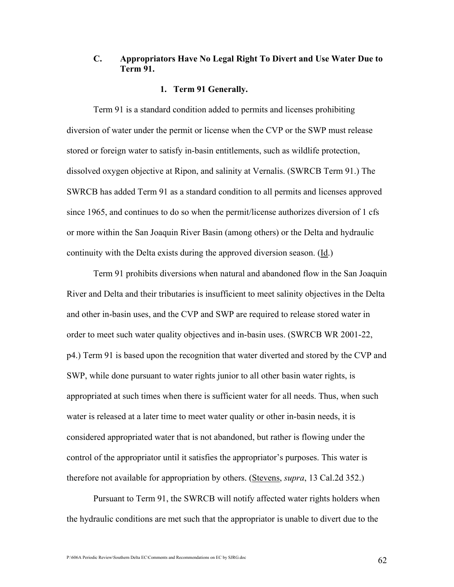# C. Appropriators Have No Legal Right To Divert and Use Water Due to Term 91.

#### 1. Term 91 Generally.

 Term 91 is a standard condition added to permits and licenses prohibiting diversion of water under the permit or license when the CVP or the SWP must release stored or foreign water to satisfy in-basin entitlements, such as wildlife protection, dissolved oxygen objective at Ripon, and salinity at Vernalis. (SWRCB Term 91.) The SWRCB has added Term 91 as a standard condition to all permits and licenses approved since 1965, and continues to do so when the permit/license authorizes diversion of 1 cfs or more within the San Joaquin River Basin (among others) or the Delta and hydraulic continuity with the Delta exists during the approved diversion season. (Id.)

 Term 91 prohibits diversions when natural and abandoned flow in the San Joaquin River and Delta and their tributaries is insufficient to meet salinity objectives in the Delta and other in-basin uses, and the CVP and SWP are required to release stored water in order to meet such water quality objectives and in-basin uses. (SWRCB WR 2001-22, p4.) Term 91 is based upon the recognition that water diverted and stored by the CVP and SWP, while done pursuant to water rights junior to all other basin water rights, is appropriated at such times when there is sufficient water for all needs. Thus, when such water is released at a later time to meet water quality or other in-basin needs, it is considered appropriated water that is not abandoned, but rather is flowing under the control of the appropriator until it satisfies the appropriator's purposes. This water is therefore not available for appropriation by others. (Stevens, *supra*, 13 Cal.2d 352.)

 Pursuant to Term 91, the SWRCB will notify affected water rights holders when the hydraulic conditions are met such that the appropriator is unable to divert due to the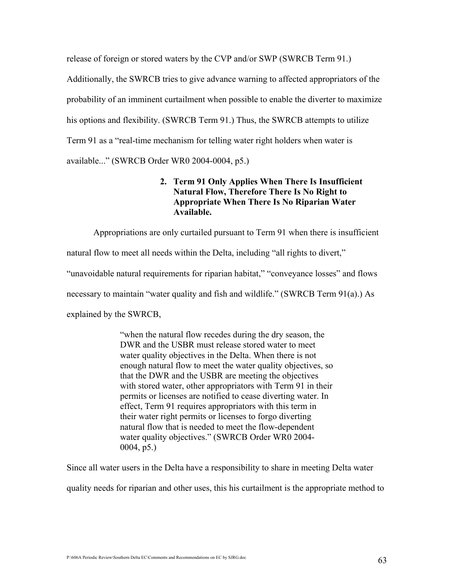release of foreign or stored waters by the CVP and/or SWP (SWRCB Term 91.) Additionally, the SWRCB tries to give advance warning to affected appropriators of the probability of an imminent curtailment when possible to enable the diverter to maximize his options and flexibility. (SWRCB Term 91.) Thus, the SWRCB attempts to utilize Term 91 as a "real-time mechanism for telling water right holders when water is available..." (SWRCB Order WR0 2004-0004, p5.)

# 2. Term 91 Only Applies When There Is Insufficient Natural Flow, Therefore There Is No Right to Appropriate When There Is No Riparian Water Available.

 Appropriations are only curtailed pursuant to Term 91 when there is insufficient natural flow to meet all needs within the Delta, including "all rights to divert," "unavoidable natural requirements for riparian habitat," "conveyance losses" and flows necessary to maintain "water quality and fish and wildlife." (SWRCB Term 91(a).) As explained by the SWRCB,

> "when the natural flow recedes during the dry season, the DWR and the USBR must release stored water to meet water quality objectives in the Delta. When there is not enough natural flow to meet the water quality objectives, so that the DWR and the USBR are meeting the objectives with stored water, other appropriators with Term 91 in their permits or licenses are notified to cease diverting water. In effect, Term 91 requires appropriators with this term in their water right permits or licenses to forgo diverting natural flow that is needed to meet the flow-dependent water quality objectives." (SWRCB Order WR0 2004- 0004, p5.)

Since all water users in the Delta have a responsibility to share in meeting Delta water

quality needs for riparian and other uses, this his curtailment is the appropriate method to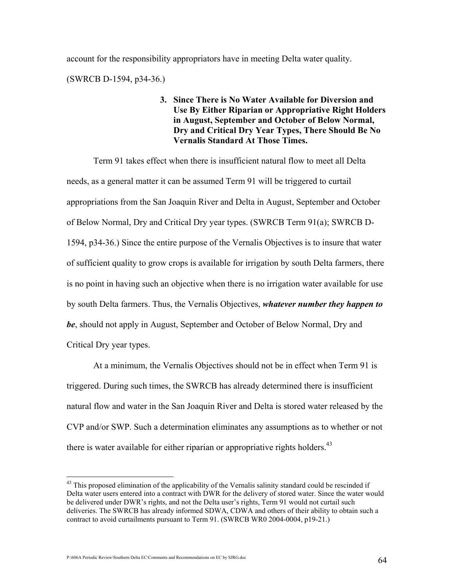account for the responsibility appropriators have in meeting Delta water quality.

(SWRCB D-1594, p34-36.)

# 3. Since There is No Water Available for Diversion and Use By Either Riparian or Appropriative Right Holders in August, September and October of Below Normal, Dry and Critical Dry Year Types, There Should Be No Vernalis Standard At Those Times.

 Term 91 takes effect when there is insufficient natural flow to meet all Delta needs, as a general matter it can be assumed Term 91 will be triggered to curtail appropriations from the San Joaquin River and Delta in August, September and October of Below Normal, Dry and Critical Dry year types. (SWRCB Term 91(a); SWRCB D-1594, p34-36.) Since the entire purpose of the Vernalis Objectives is to insure that water of sufficient quality to grow crops is available for irrigation by south Delta farmers, there is no point in having such an objective when there is no irrigation water available for use by south Delta farmers. Thus, the Vernalis Objectives, whatever number they happen to be, should not apply in August, September and October of Below Normal, Dry and Critical Dry year types.

 At a minimum, the Vernalis Objectives should not be in effect when Term 91 is triggered. During such times, the SWRCB has already determined there is insufficient natural flow and water in the San Joaquin River and Delta is stored water released by the CVP and/or SWP. Such a determination eliminates any assumptions as to whether or not there is water available for either riparian or appropriative rights holders.<sup>43</sup>

<sup>&</sup>lt;sup>43</sup> This proposed elimination of the applicability of the Vernalis salinity standard could be rescinded if Delta water users entered into a contract with DWR for the delivery of stored water. Since the water would be delivered under DWR's rights, and not the Delta user's rights, Term 91 would not curtail such deliveries. The SWRCB has already informed SDWA, CDWA and others of their ability to obtain such a contract to avoid curtailments pursuant to Term 91. (SWRCB WR0 2004-0004, p19-21.)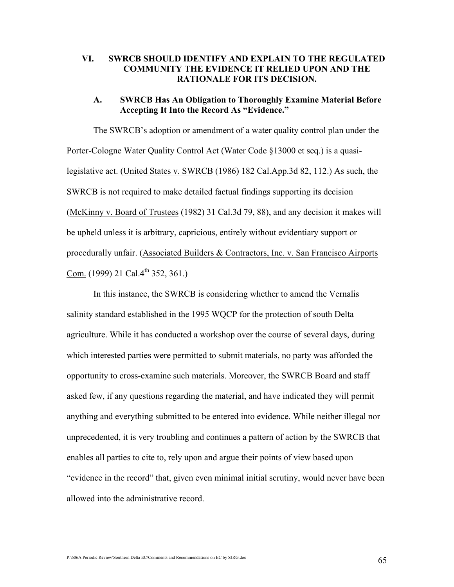# VI. SWRCB SHOULD IDENTIFY AND EXPLAIN TO THE REGULATED COMMUNITY THE EVIDENCE IT RELIED UPON AND THE RATIONALE FOR ITS DECISION.

#### A. SWRCB Has An Obligation to Thoroughly Examine Material Before Accepting It Into the Record As "Evidence."

 The SWRCB's adoption or amendment of a water quality control plan under the Porter-Cologne Water Quality Control Act (Water Code §13000 et seq.) is a quasilegislative act. (United States v. SWRCB (1986) 182 Cal.App.3d 82, 112.) As such, the SWRCB is not required to make detailed factual findings supporting its decision (McKinny v. Board of Trustees (1982) 31 Cal.3d 79, 88), and any decision it makes will be upheld unless it is arbitrary, capricious, entirely without evidentiary support or procedurally unfair. (Associated Builders & Contractors, Inc. v. San Francisco Airports Com. (1999) 21 Cal. $4^{th}$  352, 361.)

 In this instance, the SWRCB is considering whether to amend the Vernalis salinity standard established in the 1995 WQCP for the protection of south Delta agriculture. While it has conducted a workshop over the course of several days, during which interested parties were permitted to submit materials, no party was afforded the opportunity to cross-examine such materials. Moreover, the SWRCB Board and staff asked few, if any questions regarding the material, and have indicated they will permit anything and everything submitted to be entered into evidence. While neither illegal nor unprecedented, it is very troubling and continues a pattern of action by the SWRCB that enables all parties to cite to, rely upon and argue their points of view based upon "evidence in the record" that, given even minimal initial scrutiny, would never have been allowed into the administrative record.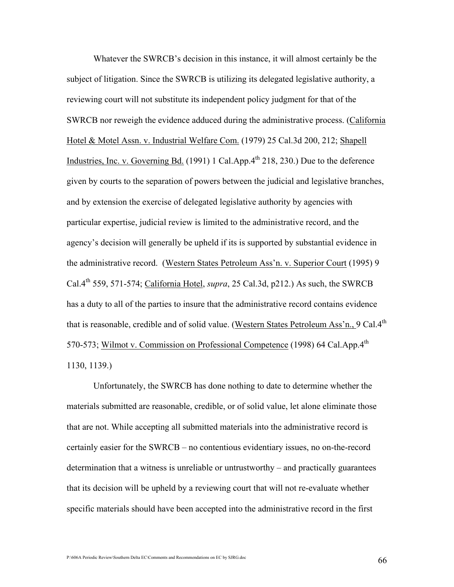Whatever the SWRCB's decision in this instance, it will almost certainly be the subject of litigation. Since the SWRCB is utilizing its delegated legislative authority, a reviewing court will not substitute its independent policy judgment for that of the SWRCB nor reweigh the evidence adduced during the administrative process. (California Hotel & Motel Assn. v. Industrial Welfare Com. (1979) 25 Cal.3d 200, 212; Shapell Industries, Inc. v. Governing Bd.  $(1991)$  1 Cal.App. $4<sup>th</sup>$  218, 230.) Due to the deference given by courts to the separation of powers between the judicial and legislative branches, and by extension the exercise of delegated legislative authority by agencies with particular expertise, judicial review is limited to the administrative record, and the agency's decision will generally be upheld if its is supported by substantial evidence in the administrative record. (Western States Petroleum Ass'n. v. Superior Court (1995) 9 Cal. $4^{th}$  559, 571-574; California Hotel, *supra*, 25 Cal.3d, p212.) As such, the SWRCB has a duty to all of the parties to insure that the administrative record contains evidence that is reasonable, credible and of solid value. (Western States Petroleum Ass'n., 9 Cal. $4<sup>th</sup>$ 570-573; Wilmot v. Commission on Professional Competence (1998) 64 Cal.App.4<sup>th</sup> 1130, 1139.)

 Unfortunately, the SWRCB has done nothing to date to determine whether the materials submitted are reasonable, credible, or of solid value, let alone eliminate those that are not. While accepting all submitted materials into the administrative record is certainly easier for the SWRCB – no contentious evidentiary issues, no on-the-record determination that a witness is unreliable or untrustworthy – and practically guarantees that its decision will be upheld by a reviewing court that will not re-evaluate whether specific materials should have been accepted into the administrative record in the first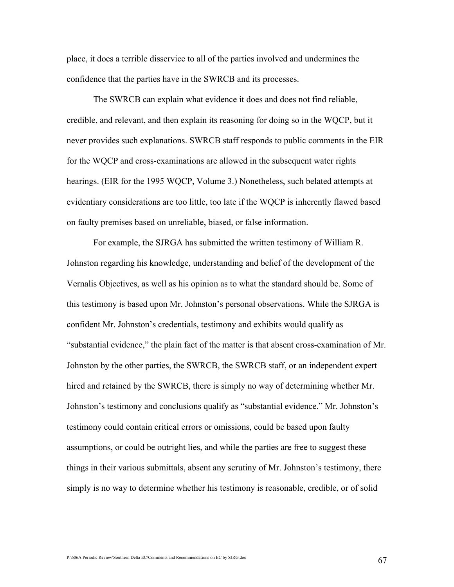place, it does a terrible disservice to all of the parties involved and undermines the confidence that the parties have in the SWRCB and its processes.

 The SWRCB can explain what evidence it does and does not find reliable, credible, and relevant, and then explain its reasoning for doing so in the WQCP, but it never provides such explanations. SWRCB staff responds to public comments in the EIR for the WQCP and cross-examinations are allowed in the subsequent water rights hearings. (EIR for the 1995 WQCP, Volume 3.) Nonetheless, such belated attempts at evidentiary considerations are too little, too late if the WQCP is inherently flawed based on faulty premises based on unreliable, biased, or false information.

 For example, the SJRGA has submitted the written testimony of William R. Johnston regarding his knowledge, understanding and belief of the development of the Vernalis Objectives, as well as his opinion as to what the standard should be. Some of this testimony is based upon Mr. Johnston's personal observations. While the SJRGA is confident Mr. Johnston's credentials, testimony and exhibits would qualify as "substantial evidence," the plain fact of the matter is that absent cross-examination of Mr. Johnston by the other parties, the SWRCB, the SWRCB staff, or an independent expert hired and retained by the SWRCB, there is simply no way of determining whether Mr. Johnston's testimony and conclusions qualify as "substantial evidence." Mr. Johnston's testimony could contain critical errors or omissions, could be based upon faulty assumptions, or could be outright lies, and while the parties are free to suggest these things in their various submittals, absent any scrutiny of Mr. Johnston's testimony, there simply is no way to determine whether his testimony is reasonable, credible, or of solid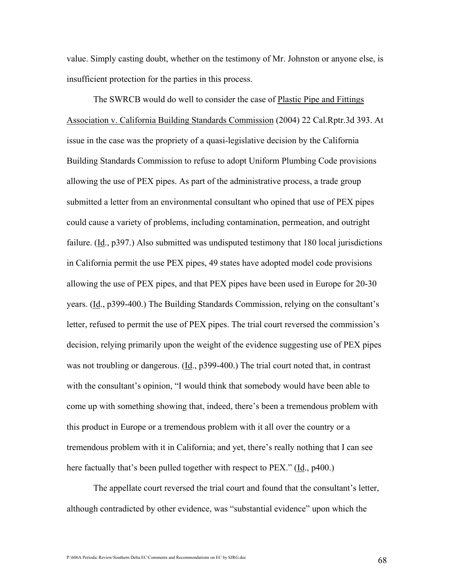value. Simply casting doubt, whether on the testimony of Mr. Johnston or anyone else, is insufficient protection for the parties in this process.

 The SWRCB would do well to consider the case of Plastic Pipe and Fittings Association v. California Building Standards Commission (2004) 22 Cal.Rptr.3d 393. At issue in the case was the propriety of a quasi-legislative decision by the California Building Standards Commission to refuse to adopt Uniform Plumbing Code provisions allowing the use of PEX pipes. As part of the administrative process, a trade group submitted a letter from an environmental consultant who opined that use of PEX pipes could cause a variety of problems, including contamination, permeation, and outright failure. (Id., p397.) Also submitted was undisputed testimony that 180 local jurisdictions in California permit the use PEX pipes, 49 states have adopted model code provisions allowing the use of PEX pipes, and that PEX pipes have been used in Europe for 20-30 years. (Id., p399-400.) The Building Standards Commission, relying on the consultant's letter, refused to permit the use of PEX pipes. The trial court reversed the commission's decision, relying primarily upon the weight of the evidence suggesting use of PEX pipes was not troubling or dangerous. (Id., p399-400.) The trial court noted that, in contrast with the consultant's opinion, "I would think that somebody would have been able to come up with something showing that, indeed, there's been a tremendous problem with this product in Europe or a tremendous problem with it all over the country or a tremendous problem with it in California; and yet, there's really nothing that I can see here factually that's been pulled together with respect to PEX." (Id., p400.)

The appellate court reversed the trial court and found that the consultant's letter, although contradicted by other evidence, was "substantial evidence" upon which the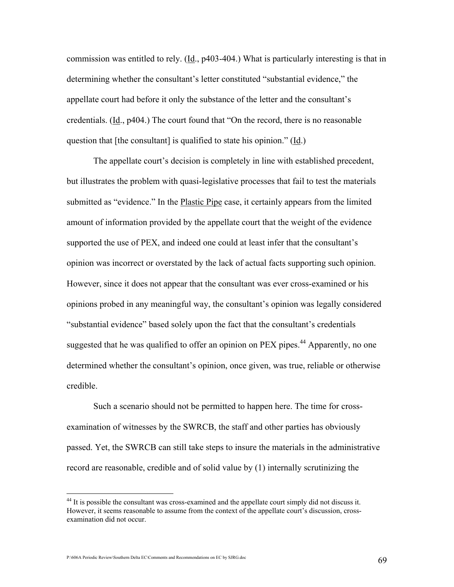commission was entitled to rely. (Id., p403-404.) What is particularly interesting is that in determining whether the consultant's letter constituted "substantial evidence," the appellate court had before it only the substance of the letter and the consultant's credentials. (Id., p404.) The court found that "On the record, there is no reasonable question that [the consultant] is qualified to state his opinion." (Id.)

The appellate court's decision is completely in line with established precedent, but illustrates the problem with quasi-legislative processes that fail to test the materials submitted as "evidence." In the Plastic Pipe case, it certainly appears from the limited amount of information provided by the appellate court that the weight of the evidence supported the use of PEX, and indeed one could at least infer that the consultant's opinion was incorrect or overstated by the lack of actual facts supporting such opinion. However, since it does not appear that the consultant was ever cross-examined or his opinions probed in any meaningful way, the consultant's opinion was legally considered "substantial evidence" based solely upon the fact that the consultant's credentials suggested that he was qualified to offer an opinion on  $PEX$  pipes.<sup>44</sup> Apparently, no one determined whether the consultant's opinion, once given, was true, reliable or otherwise credible.

Such a scenario should not be permitted to happen here. The time for crossexamination of witnesses by the SWRCB, the staff and other parties has obviously passed. Yet, the SWRCB can still take steps to insure the materials in the administrative record are reasonable, credible and of solid value by (1) internally scrutinizing the

 $\overline{a}$ 

<sup>&</sup>lt;sup>44</sup> It is possible the consultant was cross-examined and the appellate court simply did not discuss it. However, it seems reasonable to assume from the context of the appellate court's discussion, crossexamination did not occur.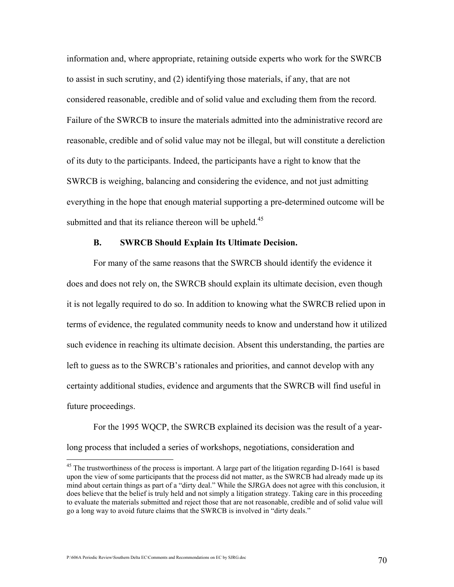information and, where appropriate, retaining outside experts who work for the SWRCB to assist in such scrutiny, and (2) identifying those materials, if any, that are not considered reasonable, credible and of solid value and excluding them from the record. Failure of the SWRCB to insure the materials admitted into the administrative record are reasonable, credible and of solid value may not be illegal, but will constitute a dereliction of its duty to the participants. Indeed, the participants have a right to know that the SWRCB is weighing, balancing and considering the evidence, and not just admitting everything in the hope that enough material supporting a pre-determined outcome will be submitted and that its reliance thereon will be upheld.<sup>45</sup>

## B. SWRCB Should Explain Its Ultimate Decision.

 For many of the same reasons that the SWRCB should identify the evidence it does and does not rely on, the SWRCB should explain its ultimate decision, even though it is not legally required to do so. In addition to knowing what the SWRCB relied upon in terms of evidence, the regulated community needs to know and understand how it utilized such evidence in reaching its ultimate decision. Absent this understanding, the parties are left to guess as to the SWRCB's rationales and priorities, and cannot develop with any certainty additional studies, evidence and arguments that the SWRCB will find useful in future proceedings.

 For the 1995 WQCP, the SWRCB explained its decision was the result of a yearlong process that included a series of workshops, negotiations, consideration and

<u>.</u>

<sup>&</sup>lt;sup>45</sup> The trustworthiness of the process is important. A large part of the litigation regarding D-1641 is based upon the view of some participants that the process did not matter, as the SWRCB had already made up its mind about certain things as part of a "dirty deal." While the SJRGA does not agree with this conclusion, it does believe that the belief is truly held and not simply a litigation strategy. Taking care in this proceeding to evaluate the materials submitted and reject those that are not reasonable, credible and of solid value will go a long way to avoid future claims that the SWRCB is involved in "dirty deals."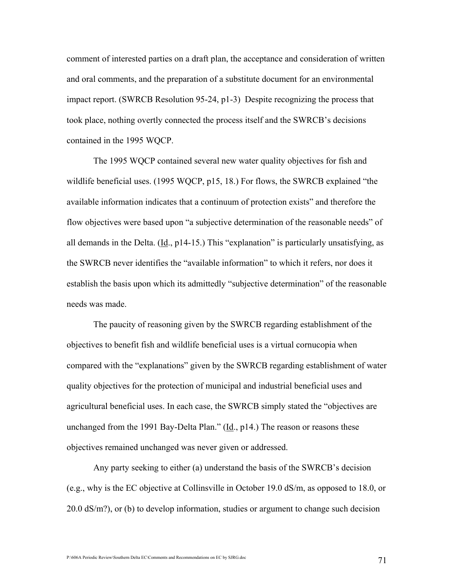comment of interested parties on a draft plan, the acceptance and consideration of written and oral comments, and the preparation of a substitute document for an environmental impact report. (SWRCB Resolution 95-24, p1-3) Despite recognizing the process that took place, nothing overtly connected the process itself and the SWRCB's decisions contained in the 1995 WQCP.

The 1995 WQCP contained several new water quality objectives for fish and wildlife beneficial uses. (1995 WQCP, p15, 18.) For flows, the SWRCB explained "the available information indicates that a continuum of protection exists" and therefore the flow objectives were based upon "a subjective determination of the reasonable needs" of all demands in the Delta.  $(\underline{Id}, p14-15)$ . This "explanation" is particularly unsatisfying, as the SWRCB never identifies the "available information" to which it refers, nor does it establish the basis upon which its admittedly "subjective determination" of the reasonable needs was made.

 The paucity of reasoning given by the SWRCB regarding establishment of the objectives to benefit fish and wildlife beneficial uses is a virtual cornucopia when compared with the "explanations" given by the SWRCB regarding establishment of water quality objectives for the protection of municipal and industrial beneficial uses and agricultural beneficial uses. In each case, the SWRCB simply stated the "objectives are unchanged from the 1991 Bay-Delta Plan."  $(\underline{Id}, p14)$  The reason or reasons these objectives remained unchanged was never given or addressed.

 Any party seeking to either (a) understand the basis of the SWRCB's decision (e.g., why is the EC objective at Collinsville in October 19.0 dS/m, as opposed to 18.0, or 20.0 dS/m?), or (b) to develop information, studies or argument to change such decision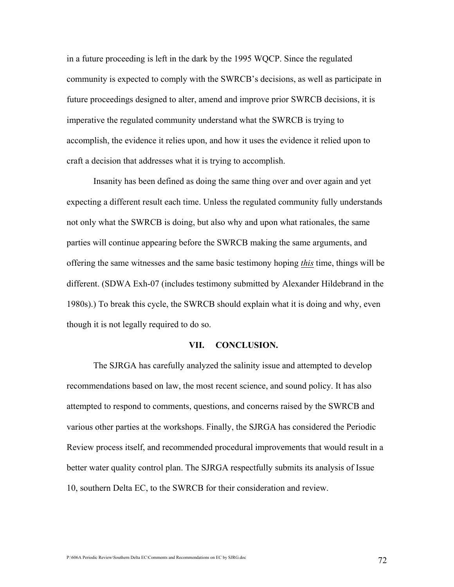in a future proceeding is left in the dark by the 1995 WQCP. Since the regulated community is expected to comply with the SWRCB's decisions, as well as participate in future proceedings designed to alter, amend and improve prior SWRCB decisions, it is imperative the regulated community understand what the SWRCB is trying to accomplish, the evidence it relies upon, and how it uses the evidence it relied upon to craft a decision that addresses what it is trying to accomplish.

 Insanity has been defined as doing the same thing over and over again and yet expecting a different result each time. Unless the regulated community fully understands not only what the SWRCB is doing, but also why and upon what rationales, the same parties will continue appearing before the SWRCB making the same arguments, and offering the same witnesses and the same basic testimony hoping this time, things will be different. (SDWA Exh-07 (includes testimony submitted by Alexander Hildebrand in the 1980s).) To break this cycle, the SWRCB should explain what it is doing and why, even though it is not legally required to do so.

## VII. CONCLUSION.

The SJRGA has carefully analyzed the salinity issue and attempted to develop recommendations based on law, the most recent science, and sound policy. It has also attempted to respond to comments, questions, and concerns raised by the SWRCB and various other parties at the workshops. Finally, the SJRGA has considered the Periodic Review process itself, and recommended procedural improvements that would result in a better water quality control plan. The SJRGA respectfully submits its analysis of Issue 10, southern Delta EC, to the SWRCB for their consideration and review.